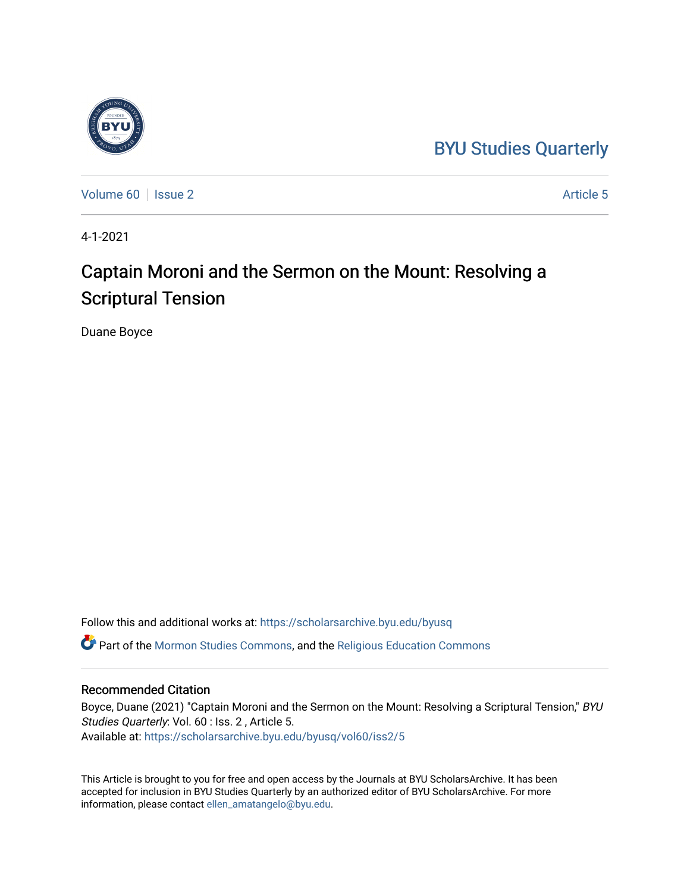# [BYU Studies Quarterly](https://scholarsarchive.byu.edu/byusq)



[Volume 60](https://scholarsarchive.byu.edu/byusq/vol60) | [Issue 2](https://scholarsarchive.byu.edu/byusq/vol60/iss2) Article 5

4-1-2021

# Captain Moroni and the Sermon on the Mount: Resolving a Scriptural Tension

Duane Boyce

Follow this and additional works at: [https://scholarsarchive.byu.edu/byusq](https://scholarsarchive.byu.edu/byusq?utm_source=scholarsarchive.byu.edu%2Fbyusq%2Fvol60%2Fiss2%2F5&utm_medium=PDF&utm_campaign=PDFCoverPages) 

Part of the [Mormon Studies Commons](http://network.bepress.com/hgg/discipline/1360?utm_source=scholarsarchive.byu.edu%2Fbyusq%2Fvol60%2Fiss2%2F5&utm_medium=PDF&utm_campaign=PDFCoverPages), and the [Religious Education Commons](http://network.bepress.com/hgg/discipline/1414?utm_source=scholarsarchive.byu.edu%2Fbyusq%2Fvol60%2Fiss2%2F5&utm_medium=PDF&utm_campaign=PDFCoverPages) 

## Recommended Citation

Boyce, Duane (2021) "Captain Moroni and the Sermon on the Mount: Resolving a Scriptural Tension," BYU Studies Quarterly: Vol. 60 : Iss. 2 , Article 5. Available at: [https://scholarsarchive.byu.edu/byusq/vol60/iss2/5](https://scholarsarchive.byu.edu/byusq/vol60/iss2/5?utm_source=scholarsarchive.byu.edu%2Fbyusq%2Fvol60%2Fiss2%2F5&utm_medium=PDF&utm_campaign=PDFCoverPages)

This Article is brought to you for free and open access by the Journals at BYU ScholarsArchive. It has been accepted for inclusion in BYU Studies Quarterly by an authorized editor of BYU ScholarsArchive. For more information, please contact [ellen\\_amatangelo@byu.edu.](mailto:ellen_amatangelo@byu.edu)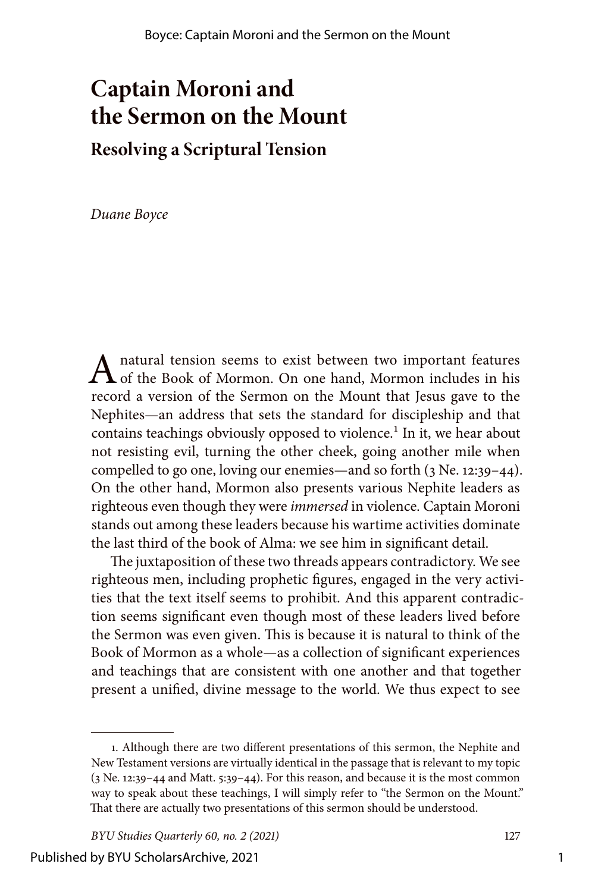# **Captain Moroni and the Sermon on the Mount**

**Resolving a Scriptural Tension**

*Duane Boyce*

A natural tension seems to exist between two important features<br>of the Book of Mormon. On one hand, Mormon includes in his record a version of the Sermon on the Mount that Jesus gave to the Nephites—an address that sets the standard for discipleship and that contains teachings obviously opposed to violence.<sup>1</sup> In it, we hear about not resisting evil, turning the other cheek, going another mile when compelled to go one, loving our enemies—and so forth (3 Ne. 12:39–44). On the other hand, Mormon also presents various Nephite leaders as righteous even though they were *immersed* in violence. Captain Moroni stands out among these leaders because his wartime activities dominate the last third of the book of Alma: we see him in significant detail.

The juxtaposition of these two threads appears contradictory. We see righteous men, including prophetic figures, engaged in the very activities that the text itself seems to prohibit. And this apparent contradiction seems significant even though most of these leaders lived before the Sermon was even given. This is because it is natural to think of the Book of Mormon as a whole—as a collection of significant experiences and teachings that are consistent with one another and that together present a unified, divine message to the world. We thus expect to see

<sup>1.</sup> Although there are two different presentations of this sermon, the Nephite and New Testament versions are virtually identical in the passage that is relevant to my topic (3 Ne. 12:39–44 and Matt. 5:39–44). For this reason, and because it is the most common way to speak about these teachings, I will simply refer to "the Sermon on the Mount." That there are actually two presentations of this sermon should be understood.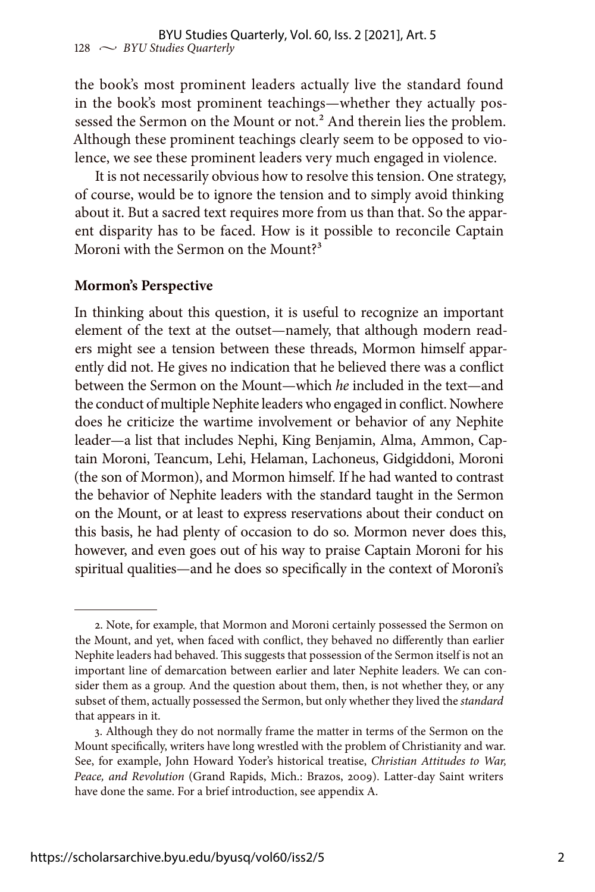the book's most prominent leaders actually live the standard found in the book's most prominent teachings—whether they actually possessed the Sermon on the Mount or not.<sup>2</sup> And therein lies the problem. Although these prominent teachings clearly seem to be opposed to violence, we see these prominent leaders very much engaged in violence.

It is not necessarily obvious how to resolve this tension. One strategy, of course, would be to ignore the tension and to simply avoid thinking about it. But a sacred text requires more from us than that. So the apparent disparity has to be faced. How is it possible to reconcile Captain Moroni with the Sermon on the Mount?<sup>3</sup>

#### **Mormon's Perspective**

In thinking about this question, it is useful to recognize an important element of the text at the outset—namely, that although modern readers might see a tension between these threads, Mormon himself apparently did not. He gives no indication that he believed there was a conflict between the Sermon on the Mount—which *he* included in the text—and the conduct of multiple Nephite leaders who engaged in conflict. Nowhere does he criticize the wartime involvement or behavior of any Nephite leader—a list that includes Nephi, King Benjamin, Alma, Ammon, Captain Moroni, Teancum, Lehi, Helaman, Lachoneus, Gidgiddoni, Moroni (the son of Mormon), and Mormon himself. If he had wanted to contrast the behavior of Nephite leaders with the standard taught in the Sermon on the Mount, or at least to express reservations about their conduct on this basis, he had plenty of occasion to do so. Mormon never does this, however, and even goes out of his way to praise Captain Moroni for his spiritual qualities—and he does so specifically in the context of Moroni's

<sup>2.</sup> Note, for example, that Mormon and Moroni certainly possessed the Sermon on the Mount, and yet, when faced with conflict, they behaved no differently than earlier Nephite leaders had behaved. This suggests that possession of the Sermon itself is not an important line of demarcation between earlier and later Nephite leaders. We can consider them as a group. And the question about them, then, is not whether they, or any subset of them, actually possessed the Sermon, but only whether they lived the *standard* that appears in it.

<sup>3.</sup> Although they do not normally frame the matter in terms of the Sermon on the Mount specifically, writers have long wrestled with the problem of Christianity and war. See, for example, John Howard Yoder's historical treatise, *Christian Attitudes to War, Peace, and Revolution* (Grand Rapids, Mich.: Brazos, 2009). Latter-day Saint writers have done the same. For a brief introduction, see appendix A.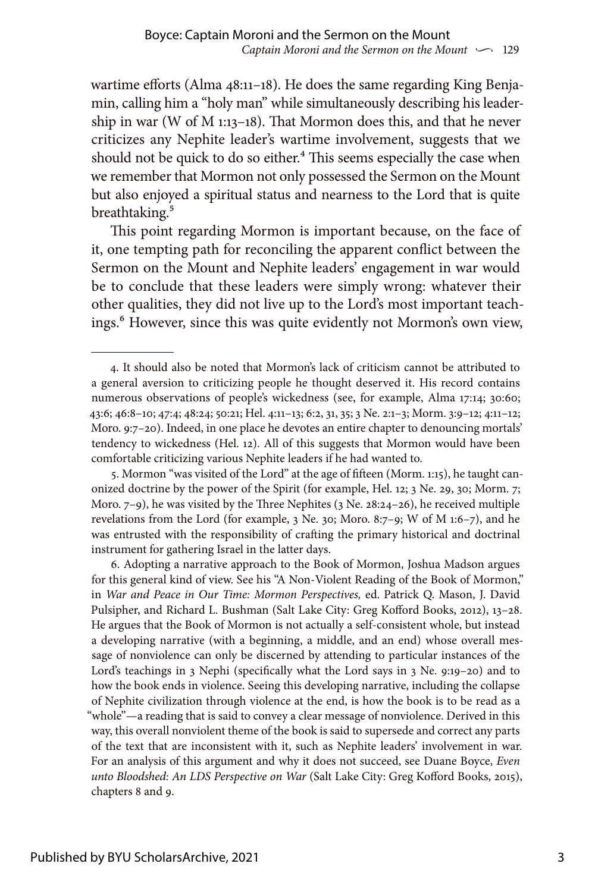wartime efforts (Alma 48:11–18). He does the same regarding King Benjamin, calling him a "holy man" while simultaneously describing his leadership in war (W of M 1:13–18). That Mormon does this, and that he never criticizes any Nephite leader's wartime involvement, suggests that we should not be quick to do so either.<sup>4</sup> This seems especially the case when we remember that Mormon not only possessed the Sermon on the Mount but also enjoyed a spiritual status and nearness to the Lord that is quite breathtaking.<sup>5</sup>

This point regarding Mormon is important because, on the face of it, one tempting path for reconciling the apparent conflict between the Sermon on the Mount and Nephite leaders' engagement in war would be to conclude that these leaders were simply wrong: whatever their other qualities, they did not live up to the Lord's most important teachings.<sup>6</sup> However, since this was quite evidently not Mormon's own view,

5. Mormon "was visited of the Lord" at the age of fifteen (Morm. 1:15), he taught canonized doctrine by the power of the Spirit (for example, Hel. 12; 3 Ne. 29, 30; Morm. 7; Moro.  $7-9$ ), he was visited by the Three Nephites (3 Ne. 28:24–26), he received multiple revelations from the Lord (for example, 3 Ne. 30; Moro. 8:7–9; W of M 1:6–7), and he was entrusted with the responsibility of crafting the primary historical and doctrinal instrument for gathering Israel in the latter days.

6. Adopting a narrative approach to the Book of Mormon, Joshua Madson argues for this general kind of view. See his "A Non-Violent Reading of the Book of Mormon," in *War and Peace in Our Time: Mormon Perspectives,* ed. Patrick Q. Mason, J. David Pulsipher, and Richard L. Bushman (Salt Lake City: Greg Kofford Books, 2012), 13–28. He argues that the Book of Mormon is not actually a self-consistent whole, but instead a developing narrative (with a beginning, a middle, and an end) whose overall message of nonviolence can only be discerned by attending to particular instances of the Lord's teachings in 3 Nephi (specifically what the Lord says in 3 Ne. 9:19–20) and to how the book ends in violence. Seeing this developing narrative, including the collapse of Nephite civilization through violence at the end, is how the book is to be read as a "whole"—a reading that is said to convey a clear message of nonviolence. Derived in this way, this overall nonviolent theme of the book is said to supersede and correct any parts of the text that are inconsistent with it, such as Nephite leaders' involvement in war. For an analysis of this argument and why it does not succeed, see Duane Boyce, *Even unto Bloodshed: An LDS Perspective on War* (Salt Lake City: Greg Kofford Books, 2015), chapters 8 and 9.

<sup>4.</sup> It should also be noted that Mormon's lack of criticism cannot be attributed to a general aversion to criticizing people he thought deserved it. His record contains numerous observations of people's wickedness (see, for example, Alma 17:14; 30:60; 43:6; 46:8–10; 47:4; 48:24; 50:21; Hel. 4:11–13; 6:2, 31, 35; 3 Ne. 2:1–3; Morm. 3:9–12; 4:11–12; Moro. 9:7–20). Indeed, in one place he devotes an entire chapter to denouncing mortals' tendency to wickedness (Hel. 12). All of this suggests that Mormon would have been comfortable criticizing various Nephite leaders if he had wanted to.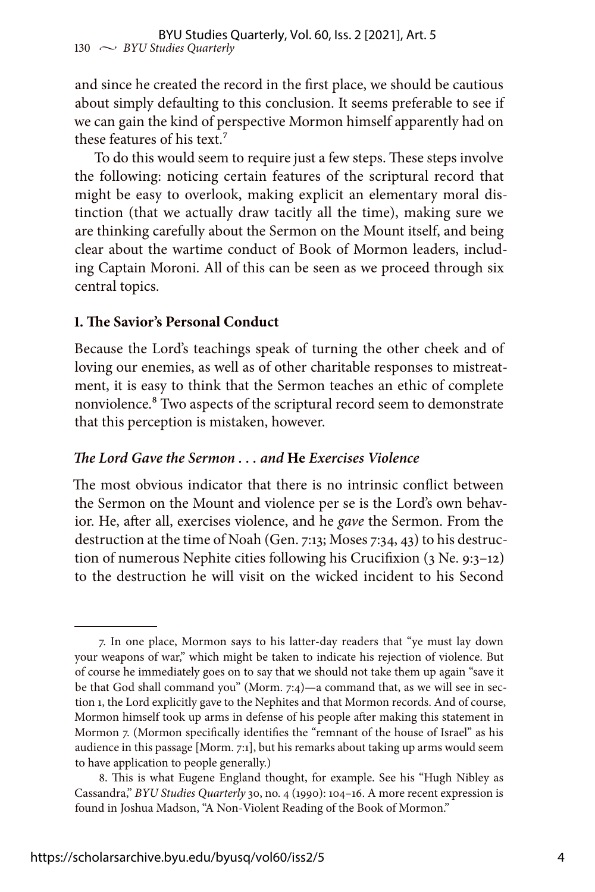and since he created the record in the first place, we should be cautious about simply defaulting to this conclusion. It seems preferable to see if we can gain the kind of perspective Mormon himself apparently had on these features of his text.<sup>7</sup>

To do this would seem to require just a few steps. These steps involve the following: noticing certain features of the scriptural record that might be easy to overlook, making explicit an elementary moral distinction (that we actually draw tacitly all the time), making sure we are thinking carefully about the Sermon on the Mount itself, and being clear about the wartime conduct of Book of Mormon leaders, including Captain Moroni. All of this can be seen as we proceed through six central topics.

## **1. The Savior's Personal Conduct**

Because the Lord's teachings speak of turning the other cheek and of loving our enemies, as well as of other charitable responses to mistreatment, it is easy to think that the Sermon teaches an ethic of complete nonviolence.8 Two aspects of the scriptural record seem to demonstrate that this perception is mistaken, however.

## *The Lord Gave the Sermon . . . and* **He** *Exercises Violence*

The most obvious indicator that there is no intrinsic conflict between the Sermon on the Mount and violence per se is the Lord's own behavior. He, after all, exercises violence, and he *gave* the Sermon. From the destruction at the time of Noah (Gen. 7:13; Moses 7:34, 43) to his destruction of numerous Nephite cities following his Crucifixion (3 Ne. 9:3–12) to the destruction he will visit on the wicked incident to his Second

<sup>7.</sup> In one place, Mormon says to his latter-day readers that "ye must lay down your weapons of war," which might be taken to indicate his rejection of violence. But of course he immediately goes on to say that we should not take them up again "save it be that God shall command you" (Morm. 7:4)—a command that, as we will see in section 1, the Lord explicitly gave to the Nephites and that Mormon records. And of course, Mormon himself took up arms in defense of his people after making this statement in Mormon 7. (Mormon specifically identifies the "remnant of the house of Israel" as his audience in this passage [Morm. 7:1], but his remarks about taking up arms would seem to have application to people generally.)

<sup>8.</sup> This is what Eugene England thought, for example. See his "Hugh Nibley as Cassandra," *BYU Studies Quarterly* 30, no. 4 (1990): 104–16. A more recent expression is found in Joshua Madson, "A Non-Violent Reading of the Book of Mormon."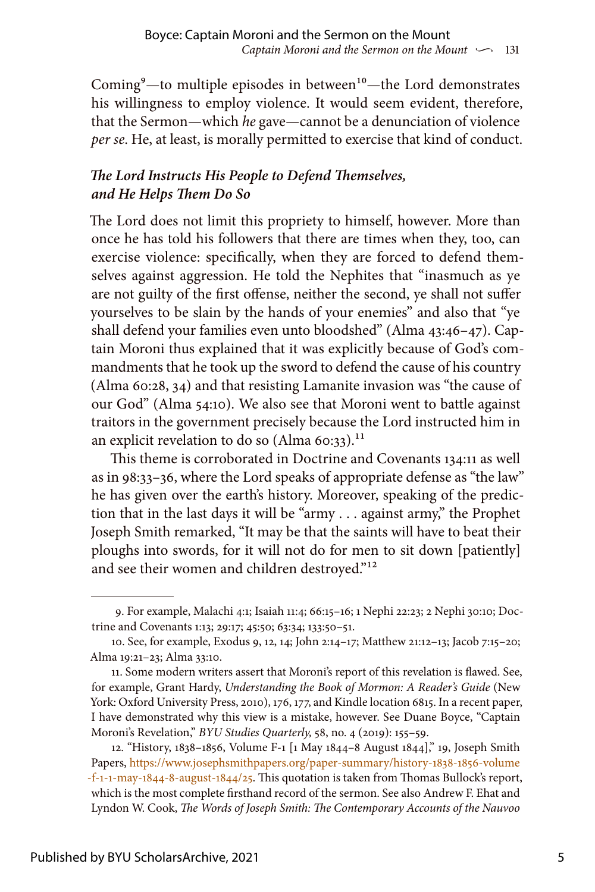Coming $-$ to multiple episodes in between $10$ —the Lord demonstrates his willingness to employ violence. It would seem evident, therefore, that the Sermon—which *he* gave—cannot be a denunciation of violence *per se*. He, at least, is morally permitted to exercise that kind of conduct.

# *The Lord Instructs His People to Defend Themselves, and He Helps Them Do So*

The Lord does not limit this propriety to himself, however. More than once he has told his followers that there are times when they, too, can exercise violence: specifically, when they are forced to defend themselves against aggression. He told the Nephites that "inasmuch as ye are not guilty of the first offense, neither the second, ye shall not suffer yourselves to be slain by the hands of your enemies" and also that "ye shall defend your families even unto bloodshed" (Alma 43:46–47). Captain Moroni thus explained that it was explicitly because of God's commandments that he took up the sword to defend the cause of his country (Alma 60:28, 34) and that resisting Lamanite invasion was "the cause of our God" (Alma 54:10). We also see that Moroni went to battle against traitors in the government precisely because the Lord instructed him in an explicit revelation to do so  $(\text{Alma 60:33}).^{11}$ 

This theme is corroborated in Doctrine and Covenants 134:11 as well as in 98:33–36, where the Lord speaks of appropriate defense as "the law" he has given over the earth's history. Moreover, speaking of the prediction that in the last days it will be "army . . . against army," the Prophet Joseph Smith remarked, "It may be that the saints will have to beat their ploughs into swords, for it will not do for men to sit down [patiently] and see their women and children destroyed."<sup>12</sup>

<sup>9.</sup> For example, Malachi 4:1; Isaiah 11:4; 66:15–16; 1 Nephi 22:23; 2 Nephi 30:10; Doctrine and Covenants 1:13; 29:17; 45:50; 63:34; 133:50–51.

<sup>10.</sup> See, for example, Exodus 9, 12, 14; John 2:14–17; Matthew 21:12–13; Jacob 7:15–20; Alma 19:21–23; Alma 33:10.

<sup>11.</sup> Some modern writers assert that Moroni's report of this revelation is flawed. See, for example, Grant Hardy, *Understanding the Book of Mormon: A Reader's Guide* (New York: Oxford University Press, 2010), 176, 177, and Kindle location 6815. In a recent paper, I have demonstrated why this view is a mistake, however. See Duane Boyce, "Captain Moroni's Revelation," *BYU Studies Quarterly,* 58, no. 4 (2019): 155–59.

<sup>12. &</sup>quot;History, 1838–1856, Volume F-1 [1 May 1844–8 August 1844]," 19, Joseph Smith Papers, [https://www.josephsmithpapers.org/paper-summary/history-1838-1856-volume](https://www.josephsmithpapers.org/paper-summary/history-1838-1856-volume-f-1-1-may-1844-8-august-1844/25) [-f-1-1-may-1844-8-august-1844/25](https://www.josephsmithpapers.org/paper-summary/history-1838-1856-volume-f-1-1-may-1844-8-august-1844/25). This quotation is taken from Thomas Bullock's report, which is the most complete firsthand record of the sermon. See also Andrew F. Ehat and Lyndon W. Cook, *The Words of Joseph Smith: The Contemporary Accounts of the Nauvoo*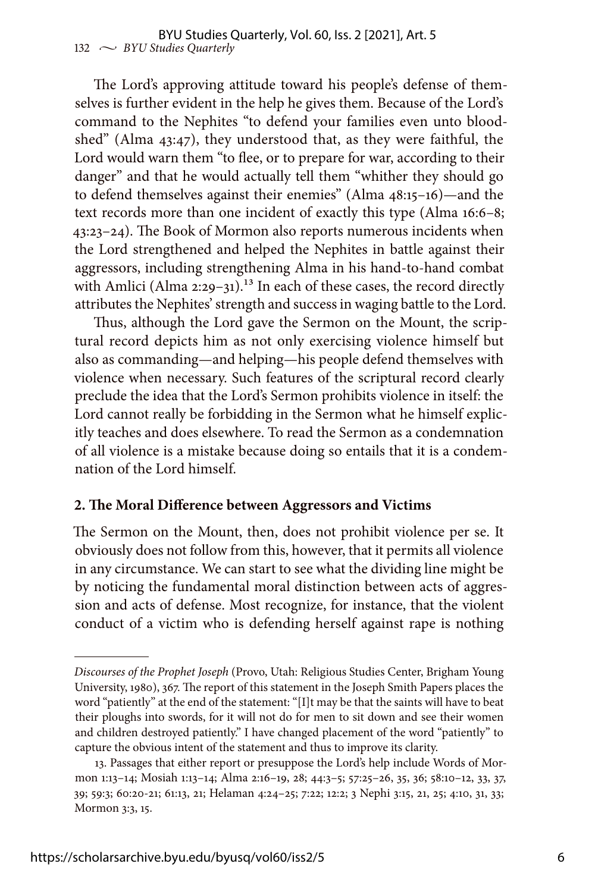The Lord's approving attitude toward his people's defense of themselves is further evident in the help he gives them. Because of the Lord's command to the Nephites "to defend your families even unto bloodshed" (Alma 43:47), they understood that, as they were faithful, the Lord would warn them "to flee, or to prepare for war, according to their danger" and that he would actually tell them "whither they should go to defend themselves against their enemies" (Alma 48:15–16)—and the text records more than one incident of exactly this type (Alma 16:6–8; 43:23–24). The Book of Mormon also reports numerous incidents when the Lord strengthened and helped the Nephites in battle against their aggressors, including strengthening Alma in his hand-to-hand combat with Amlici (Alma  $2:29-31$ ).<sup>13</sup> In each of these cases, the record directly attributes the Nephites' strength and success in waging battle to the Lord.

Thus, although the Lord gave the Sermon on the Mount, the scriptural record depicts him as not only exercising violence himself but also as commanding—and helping—his people defend themselves with violence when necessary. Such features of the scriptural record clearly preclude the idea that the Lord's Sermon prohibits violence in itself: the Lord cannot really be forbidding in the Sermon what he himself explicitly teaches and does elsewhere. To read the Sermon as a condemnation of all violence is a mistake because doing so entails that it is a condemnation of the Lord himself.

## **2. The Moral Difference between Aggressors and Victims**

The Sermon on the Mount, then, does not prohibit violence per se. It obviously does not follow from this, however, that it permits all violence in any circumstance. We can start to see what the dividing line might be by noticing the fundamental moral distinction between acts of aggression and acts of defense. Most recognize, for instance, that the violent conduct of a victim who is defending herself against rape is nothing

*Discourses of the Prophet Joseph* (Provo, Utah: Religious Studies Center, Brigham Young University, 1980), 367. The report of this statement in the Joseph Smith Papers places the word "patiently" at the end of the statement: "[I]t may be that the saints will have to beat their ploughs into swords, for it will not do for men to sit down and see their women and children destroyed patiently." I have changed placement of the word "patiently" to capture the obvious intent of the statement and thus to improve its clarity.

<sup>13.</sup> Passages that either report or presuppose the Lord's help include Words of Mormon 1:13–14; Mosiah 1:13–14; Alma 2:16–19, 28; 44:3–5; 57:25–26, 35, 36; 58:10–12, 33, 37, 39; 59:3; 60:20-21; 61:13, 21; Helaman 4:24–25; 7:22; 12:2; 3 Nephi 3:15, 21, 25; 4:10, 31, 33; Mormon 3:3, 15.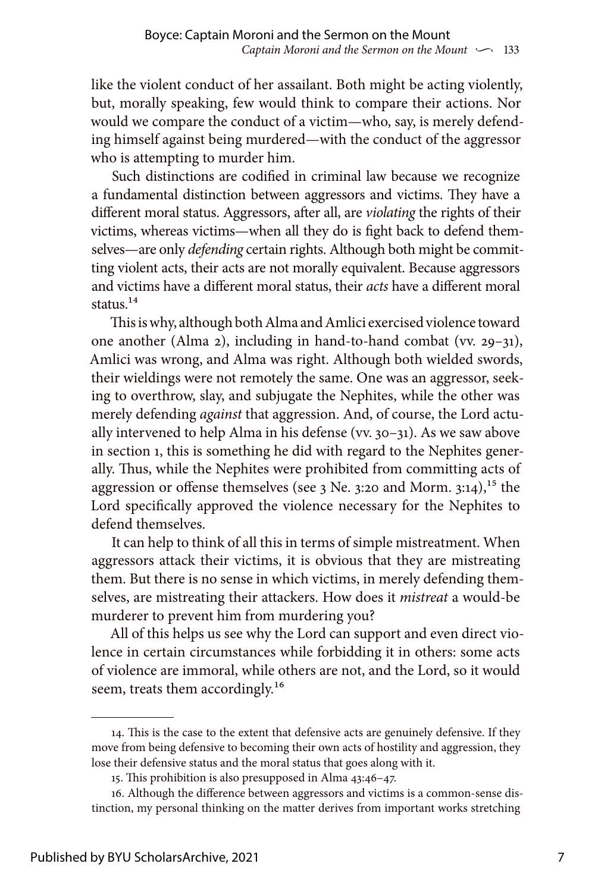like the violent conduct of her assailant. Both might be acting violently, but, morally speaking, few would think to compare their actions. Nor would we compare the conduct of a victim—who, say, is merely defending himself against being murdered—with the conduct of the aggressor who is attempting to murder him.

Such distinctions are codified in criminal law because we recognize a fundamental distinction between aggressors and victims. They have a different moral status. Aggressors, after all, are *violating* the rights of their victims, whereas victims—when all they do is fight back to defend themselves—are only *defending* certain rights. Although both might be committing violent acts, their acts are not morally equivalent. Because aggressors and victims have a different moral status, their *acts* have a different moral status $14$ 

This is why, although both Alma and Amlici exercised violence toward one another (Alma 2), including in hand-to-hand combat (vv. 29–31), Amlici was wrong, and Alma was right. Although both wielded swords, their wieldings were not remotely the same. One was an aggressor, seeking to overthrow, slay, and subjugate the Nephites, while the other was merely defending *against* that aggression. And, of course, the Lord actually intervened to help Alma in his defense (vv. 30–31). As we saw above in section 1, this is something he did with regard to the Nephites generally. Thus, while the Nephites were prohibited from committing acts of aggression or offense themselves (see 3 Ne. 3:20 and Morm. 3:14),<sup>15</sup> the Lord specifically approved the violence necessary for the Nephites to defend themselves.

It can help to think of all this in terms of simple mistreatment. When aggressors attack their victims, it is obvious that they are mistreating them. But there is no sense in which victims, in merely defending themselves, are mistreating their attackers. How does it *mistreat* a would-be murderer to prevent him from murdering you?

All of this helps us see why the Lord can support and even direct violence in certain circumstances while forbidding it in others: some acts of violence are immoral, while others are not, and the Lord, so it would seem, treats them accordingly.<sup>16</sup>

<sup>14.</sup> This is the case to the extent that defensive acts are genuinely defensive. If they move from being defensive to becoming their own acts of hostility and aggression, they lose their defensive status and the moral status that goes along with it.

<sup>15.</sup> This prohibition is also presupposed in Alma 43:46–47.

<sup>16.</sup> Although the difference between aggressors and victims is a common-sense distinction, my personal thinking on the matter derives from important works stretching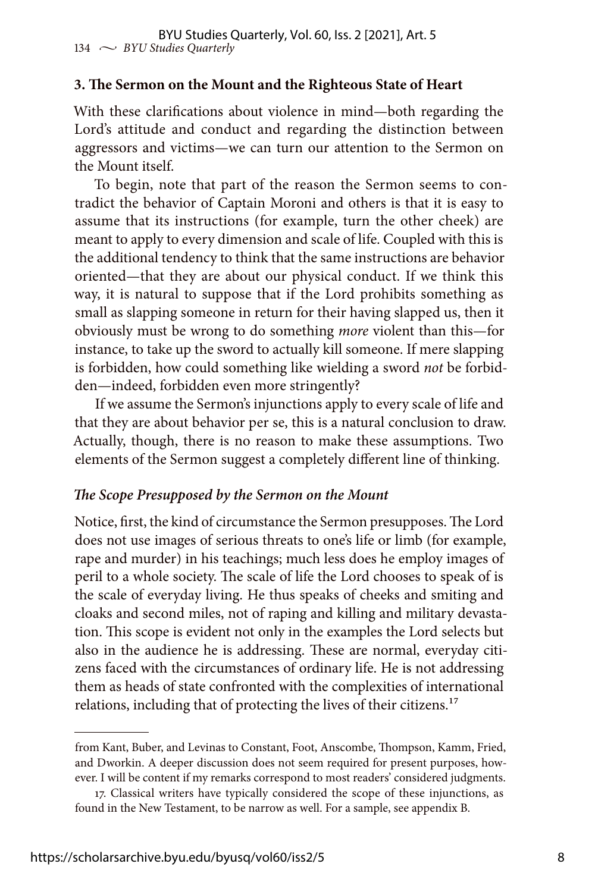### **3. The Sermon on the Mount and the Righteous State of Heart**

With these clarifications about violence in mind—both regarding the Lord's attitude and conduct and regarding the distinction between aggressors and victims—we can turn our attention to the Sermon on the Mount itself.

To begin, note that part of the reason the Sermon seems to contradict the behavior of Captain Moroni and others is that it is easy to assume that its instructions (for example, turn the other cheek) are meant to apply to every dimension and scale of life. Coupled with this is the additional tendency to think that the same instructions are behavior oriented—that they are about our physical conduct. If we think this way, it is natural to suppose that if the Lord prohibits something as small as slapping someone in return for their having slapped us, then it obviously must be wrong to do something *more* violent than this—for instance, to take up the sword to actually kill someone. If mere slapping is forbidden, how could something like wielding a sword *not* be forbidden—indeed, forbidden even more stringently?

If we assume the Sermon's injunctions apply to every scale of life and that they are about behavior per se, this is a natural conclusion to draw. Actually, though, there is no reason to make these assumptions. Two elements of the Sermon suggest a completely different line of thinking.

#### *The Scope Presupposed by the Sermon on the Mount*

Notice, first, the kind of circumstance the Sermon presupposes. The Lord does not use images of serious threats to one's life or limb (for example, rape and murder) in his teachings; much less does he employ images of peril to a whole society. The scale of life the Lord chooses to speak of is the scale of everyday living. He thus speaks of cheeks and smiting and cloaks and second miles, not of raping and killing and military devastation. This scope is evident not only in the examples the Lord selects but also in the audience he is addressing. These are normal, everyday citizens faced with the circumstances of ordinary life. He is not addressing them as heads of state confronted with the complexities of international relations, including that of protecting the lives of their citizens.<sup>17</sup>

from Kant, Buber, and Levinas to Constant, Foot, Anscombe, Thompson, Kamm, Fried, and Dworkin. A deeper discussion does not seem required for present purposes, however. I will be content if my remarks correspond to most readers' considered judgments.

<sup>17.</sup> Classical writers have typically considered the scope of these injunctions, as found in the New Testament, to be narrow as well. For a sample, see appendix B.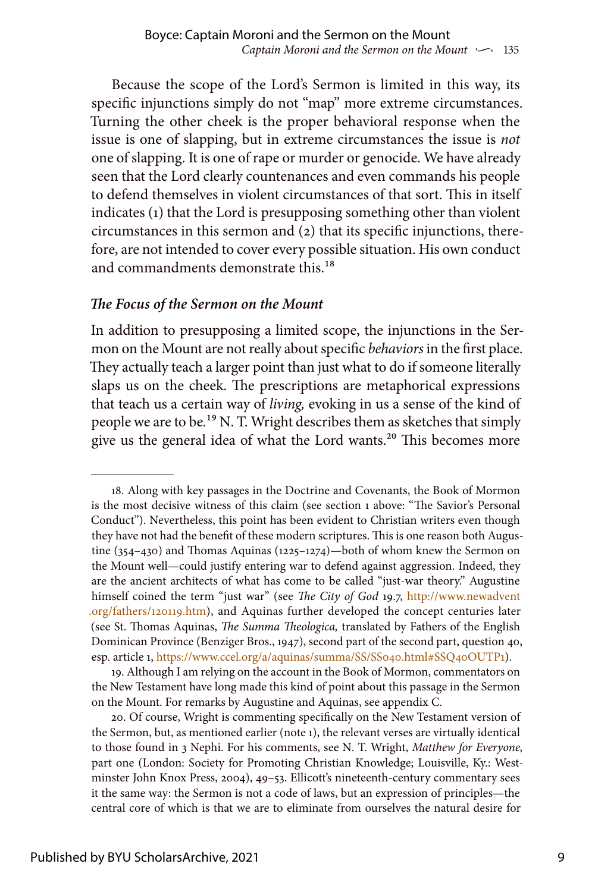Because the scope of the Lord's Sermon is limited in this way, its specific injunctions simply do not "map" more extreme circumstances. Turning the other cheek is the proper behavioral response when the issue is one of slapping, but in extreme circumstances the issue is *not* one of slapping. It is one of rape or murder or genocide. We have already seen that the Lord clearly countenances and even commands his people to defend themselves in violent circumstances of that sort. This in itself indicates (1) that the Lord is presupposing something other than violent circumstances in this sermon and (2) that its specific injunctions, therefore, are not intended to cover every possible situation. His own conduct and commandments demonstrate this.<sup>18</sup>

### *The Focus of the Sermon on the Mount*

In addition to presupposing a limited scope, the injunctions in the Sermon on the Mount are not really about specific *behaviors* in the first place. They actually teach a larger point than just what to do if someone literally slaps us on the cheek. The prescriptions are metaphorical expressions that teach us a certain way of *living,* evoking in us a sense of the kind of people we are to be*.*19 N. T. Wright describes them as sketches that simply give us the general idea of what the Lord wants.<sup>20</sup> This becomes more

<sup>18.</sup> Along with key passages in the Doctrine and Covenants, the Book of Mormon is the most decisive witness of this claim (see section 1 above: "The Savior's Personal Conduct"). Nevertheless, this point has been evident to Christian writers even though they have not had the benefit of these modern scriptures. This is one reason both Augustine (354–430) and Thomas Aquinas (1225–1274)—both of whom knew the Sermon on the Mount well—could justify entering war to defend against aggression. Indeed, they are the ancient architects of what has come to be called "just-war theory." Augustine himself coined the term "just war" (see *The City of God* 19.7, [http://www.newadvent](http://www.newadvent.org/fathers/120119.htm) [.org/fathers/120119.htm\)](http://www.newadvent.org/fathers/120119.htm), and Aquinas further developed the concept centuries later (see St. Thomas Aquinas, *The Summa Theologica,* translated by Fathers of the English Dominican Province (Benziger Bros., 1947), second part of the second part, question 40, esp. article 1, [https://www.ccel.org/a/aquinas/summa/SS/SS040.html#SSQ40OUTP1\)](https://www.ccel.org/a/aquinas/summa/SS/SS040.html#SSQ40OUTP1).

<sup>19.</sup> Although I am relying on the account in the Book of Mormon, commentators on the New Testament have long made this kind of point about this passage in the Sermon on the Mount. For remarks by Augustine and Aquinas, see appendix C.

<sup>20.</sup> Of course, Wright is commenting specifically on the New Testament version of the Sermon, but, as mentioned earlier (note 1), the relevant verses are virtually identical to those found in 3 Nephi. For his comments, see N. T. Wright, *Matthew for Everyone,* part one (London: Society for Promoting Christian Knowledge; Louisville, Ky.: Westminster John Knox Press, 2004), 49–53. Ellicott's nineteenth-century commentary sees it the same way: the Sermon is not a code of laws, but an expression of principles—the central core of which is that we are to eliminate from ourselves the natural desire for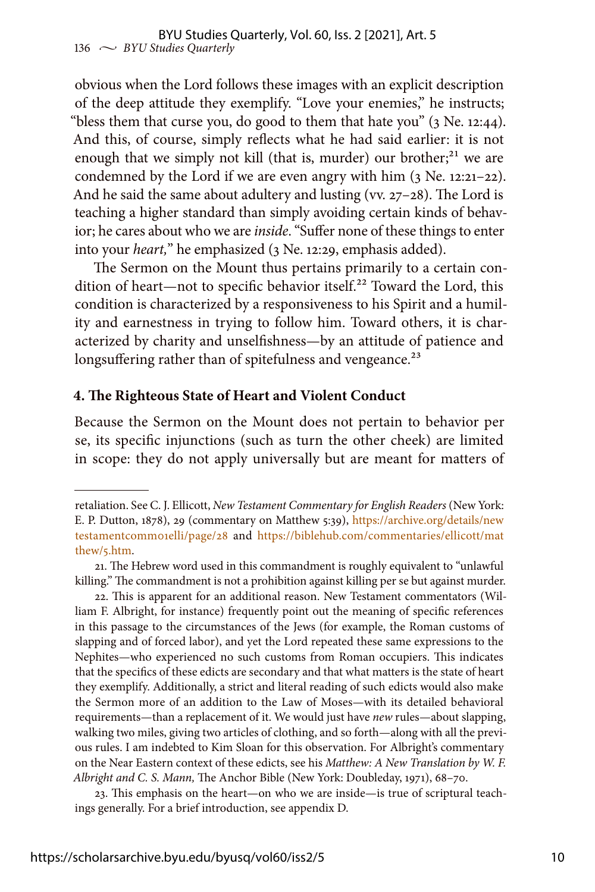obvious when the Lord follows these images with an explicit description of the deep attitude they exemplify. "Love your enemies," he instructs; "bless them that curse you, do good to them that hate you" (3 Ne. 12:44). And this, of course, simply reflects what he had said earlier: it is not enough that we simply not kill (that is, murder) our brother; $21$  we are condemned by the Lord if we are even angry with him  $(3$  Ne. 12:21–22). And he said the same about adultery and lusting (vv. 27-28). The Lord is teaching a higher standard than simply avoiding certain kinds of behavior; he cares about who we are *inside*. "Suffer none of these things to enter into your *heart,*" he emphasized (3 Ne. 12:29, emphasis added).

The Sermon on the Mount thus pertains primarily to a certain condition of heart—not to specific behavior itself.<sup>22</sup> Toward the Lord, this condition is characterized by a responsiveness to his Spirit and a humility and earnestness in trying to follow him. Toward others, it is characterized by charity and unselfishness—by an attitude of patience and longsuffering rather than of spitefulness and vengeance.<sup>23</sup>

#### **4. The Righteous State of Heart and Violent Conduct**

Because the Sermon on the Mount does not pertain to behavior per se, its specific injunctions (such as turn the other cheek) are limited in scope: they do not apply universally but are meant for matters of

23. This emphasis on the heart—on who we are inside—is true of scriptural teachings generally. For a brief introduction, see appendix D.

retaliation. See C. J. Ellicott, *New Testament Commentary for English Readers* (New York: E. P. Dutton, 1878), 29 (commentary on Matthew 5:39), [https://archive.org/details/new](https://archive.org/details/newtestamentcomm01elli/page/28) [testamentcomm01elli/page/28](https://archive.org/details/newtestamentcomm01elli/page/28) and [https://biblehub.com/commentaries/ellicott/mat](https://biblehub.com/commentaries/ellicott/matthew/5.htm) [thew/5.htm.](https://biblehub.com/commentaries/ellicott/matthew/5.htm)

<sup>21.</sup> The Hebrew word used in this commandment is roughly equivalent to "unlawful killing." The commandment is not a prohibition against killing per se but against murder.

<sup>22.</sup> This is apparent for an additional reason. New Testament commentators (William F. Albright, for instance) frequently point out the meaning of specific references in this passage to the circumstances of the Jews (for example, the Roman customs of slapping and of forced labor), and yet the Lord repeated these same expressions to the Nephites—who experienced no such customs from Roman occupiers. This indicates that the specifics of these edicts are secondary and that what matters is the state of heart they exemplify. Additionally, a strict and literal reading of such edicts would also make the Sermon more of an addition to the Law of Moses—with its detailed behavioral requirements—than a replacement of it. We would just have *new* rules—about slapping, walking two miles, giving two articles of clothing, and so forth—along with all the previous rules. I am indebted to Kim Sloan for this observation. For Albright's commentary on the Near Eastern context of these edicts, see his *Matthew: A New Translation by W. F. Albright and C. S. Mann,* The Anchor Bible (New York: Doubleday, 1971), 68–70.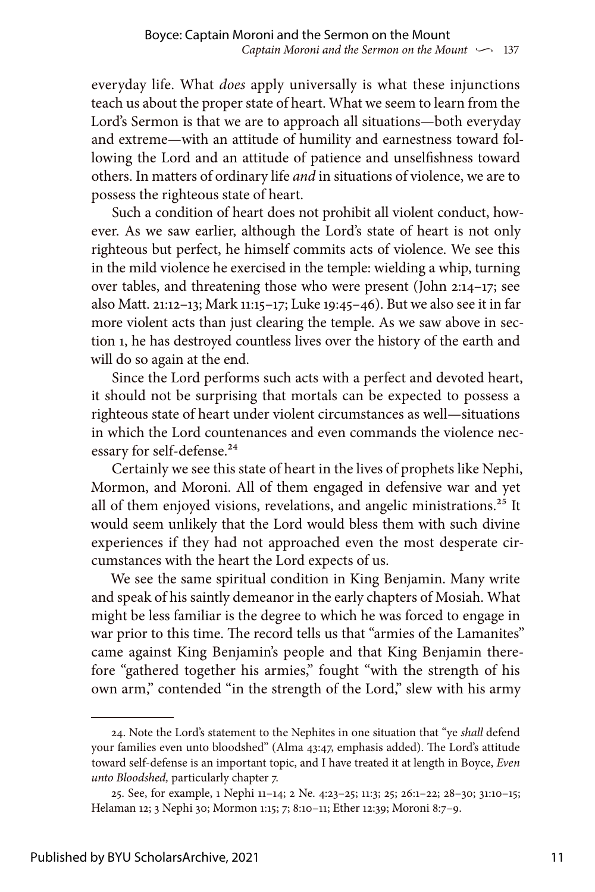everyday life. What *does* apply universally is what these injunctions teach us about the proper state of heart. What we seem to learn from the Lord's Sermon is that we are to approach all situations—both everyday and extreme—with an attitude of humility and earnestness toward following the Lord and an attitude of patience and unselfishness toward others. In matters of ordinary life *and* in situations of violence, we are to possess the righteous state of heart.

Such a condition of heart does not prohibit all violent conduct, however. As we saw earlier, although the Lord's state of heart is not only righteous but perfect, he himself commits acts of violence. We see this in the mild violence he exercised in the temple: wielding a whip, turning over tables, and threatening those who were present (John 2:14–17; see also Matt. 21:12–13; Mark 11:15–17; Luke 19:45–46). But we also see it in far more violent acts than just clearing the temple. As we saw above in section 1, he has destroyed countless lives over the history of the earth and will do so again at the end.

Since the Lord performs such acts with a perfect and devoted heart, it should not be surprising that mortals can be expected to possess a righteous state of heart under violent circumstances as well—situations in which the Lord countenances and even commands the violence necessary for self-defense.<sup>24</sup>

Certainly we see this state of heart in the lives of prophets like Nephi, Mormon, and Moroni. All of them engaged in defensive war and yet all of them enjoyed visions, revelations, and angelic ministrations.<sup>25</sup> It would seem unlikely that the Lord would bless them with such divine experiences if they had not approached even the most desperate circumstances with the heart the Lord expects of us.

We see the same spiritual condition in King Benjamin. Many write and speak of his saintly demeanor in the early chapters of Mosiah. What might be less familiar is the degree to which he was forced to engage in war prior to this time. The record tells us that "armies of the Lamanites" came against King Benjamin's people and that King Benjamin therefore "gathered together his armies," fought "with the strength of his own arm," contended "in the strength of the Lord," slew with his army

<sup>24.</sup> Note the Lord's statement to the Nephites in one situation that "ye *shall* defend your families even unto bloodshed" (Alma 43:47, emphasis added). The Lord's attitude toward self-defense is an important topic, and I have treated it at length in Boyce, *Even unto Bloodshed,* particularly chapter 7.

<sup>25.</sup> See, for example, 1 Nephi 11–14; 2 Ne. 4:23–25; 11:3; 25; 26:1–22; 28–30; 31:10–15; Helaman 12; 3 Nephi 30; Mormon 1:15; 7; 8:10–11; Ether 12:39; Moroni 8:7–9.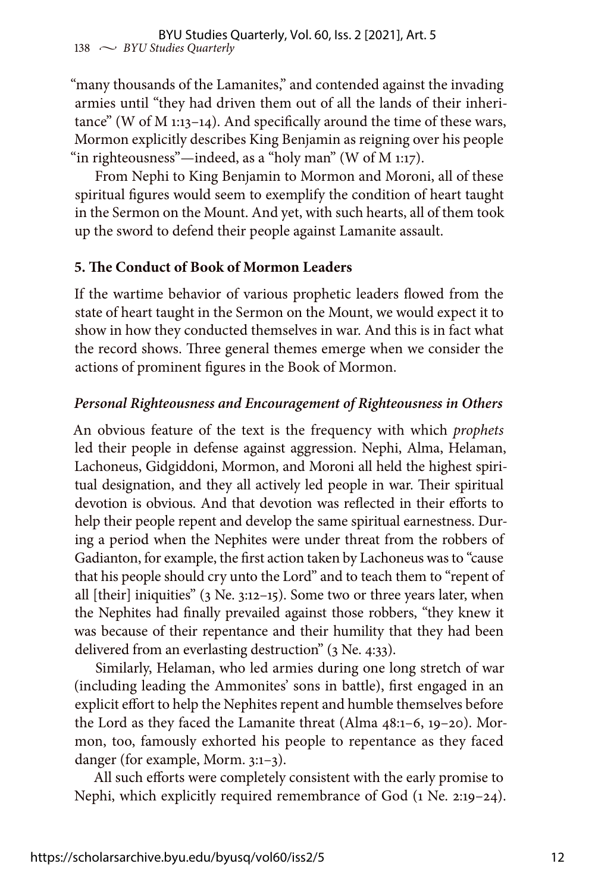"many thousands of the Lamanites," and contended against the invading armies until "they had driven them out of all the lands of their inheritance" (W of M 1:13–14). And specifically around the time of these wars, Mormon explicitly describes King Benjamin as reigning over his people "in righteousness"—indeed, as a "holy man" (W of M 1:17).

From Nephi to King Benjamin to Mormon and Moroni, all of these spiritual figures would seem to exemplify the condition of heart taught in the Sermon on the Mount. And yet, with such hearts, all of them took up the sword to defend their people against Lamanite assault.

## **5. The Conduct of Book of Mormon Leaders**

If the wartime behavior of various prophetic leaders flowed from the state of heart taught in the Sermon on the Mount, we would expect it to show in how they conducted themselves in war. And this is in fact what the record shows. Three general themes emerge when we consider the actions of prominent figures in the Book of Mormon.

## *Personal Righteousness and Encouragement of Righteousness in Others*

An obvious feature of the text is the frequency with which *prophets* led their people in defense against aggression. Nephi, Alma, Helaman, Lachoneus, Gidgiddoni, Mormon, and Moroni all held the highest spiritual designation, and they all actively led people in war. Their spiritual devotion is obvious. And that devotion was reflected in their efforts to help their people repent and develop the same spiritual earnestness. During a period when the Nephites were under threat from the robbers of Gadianton, for example, the first action taken by Lachoneus was to "cause that his people should cry unto the Lord" and to teach them to "repent of all [their] iniquities" (3 Ne. 3:12–15). Some two or three years later, when the Nephites had finally prevailed against those robbers, "they knew it was because of their repentance and their humility that they had been delivered from an everlasting destruction" (3 Ne. 4:33).

Similarly, Helaman, who led armies during one long stretch of war (including leading the Ammonites' sons in battle), first engaged in an explicit effort to help the Nephites repent and humble themselves before the Lord as they faced the Lamanite threat (Alma 48:1–6, 19–20). Mormon, too, famously exhorted his people to repentance as they faced danger (for example, Morm. 3:1–3).

All such efforts were completely consistent with the early promise to Nephi, which explicitly required remembrance of God (1 Ne. 2:19–24).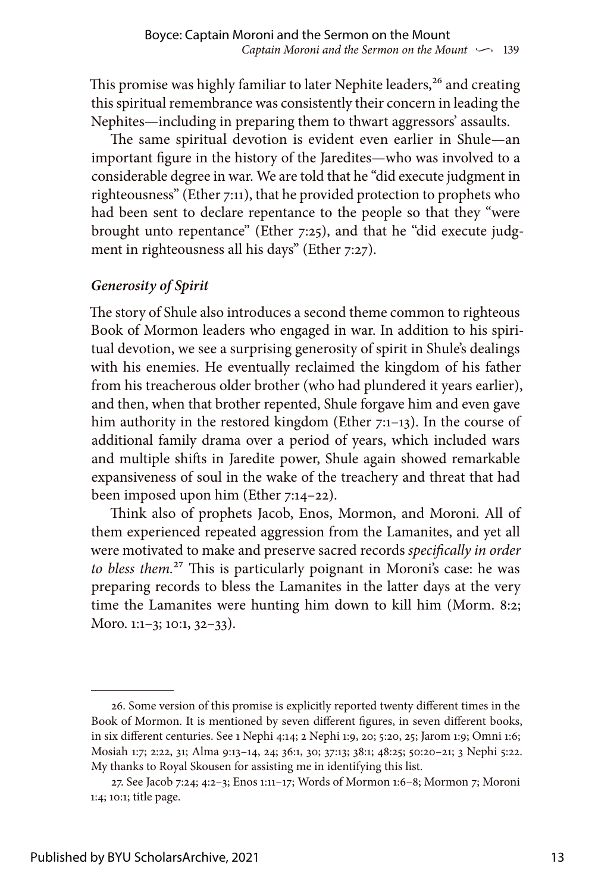This promise was highly familiar to later Nephite leaders,<sup>26</sup> and creating this spiritual remembrance was consistently their concern in leading the Nephites—including in preparing them to thwart aggressors' assaults.

The same spiritual devotion is evident even earlier in Shule—an important figure in the history of the Jaredites—who was involved to a considerable degree in war. We are told that he "did execute judgment in righteousness" (Ether 7:11), that he provided protection to prophets who had been sent to declare repentance to the people so that they "were brought unto repentance" (Ether 7:25), and that he "did execute judgment in righteousness all his days" (Ether 7:27).

# *Generosity of Spirit*

The story of Shule also introduces a second theme common to righteous Book of Mormon leaders who engaged in war. In addition to his spiritual devotion, we see a surprising generosity of spirit in Shule's dealings with his enemies. He eventually reclaimed the kingdom of his father from his treacherous older brother (who had plundered it years earlier), and then, when that brother repented, Shule forgave him and even gave him authority in the restored kingdom (Ether 7:1-13). In the course of additional family drama over a period of years, which included wars and multiple shifts in Jaredite power, Shule again showed remarkable expansiveness of soul in the wake of the treachery and threat that had been imposed upon him (Ether 7:14–22).

Think also of prophets Jacob, Enos, Mormon, and Moroni. All of them experienced repeated aggression from the Lamanites, and yet all were motivated to make and preserve sacred records *specifically in order to bless them.*27 This is particularly poignant in Moroni's case: he was preparing records to bless the Lamanites in the latter days at the very time the Lamanites were hunting him down to kill him (Morm. 8:2; Moro. 1:1–3; 10:1, 32–33).

<sup>26.</sup> Some version of this promise is explicitly reported twenty different times in the Book of Mormon. It is mentioned by seven different figures, in seven different books, in six different centuries. See 1 Nephi 4:14; 2 Nephi 1:9, 20; 5:20, 25; Jarom 1:9; Omni 1:6; Mosiah 1:7; 2:22, 31; Alma 9:13–14, 24; 36:1, 30; 37:13; 38:1; 48:25; 50:20–21; 3 Nephi 5:22. My thanks to Royal Skousen for assisting me in identifying this list.

<sup>27.</sup> See Jacob 7:24; 4:2–3; Enos 1:11–17; Words of Mormon 1:6–8; Mormon 7; Moroni 1:4; 10:1; title page.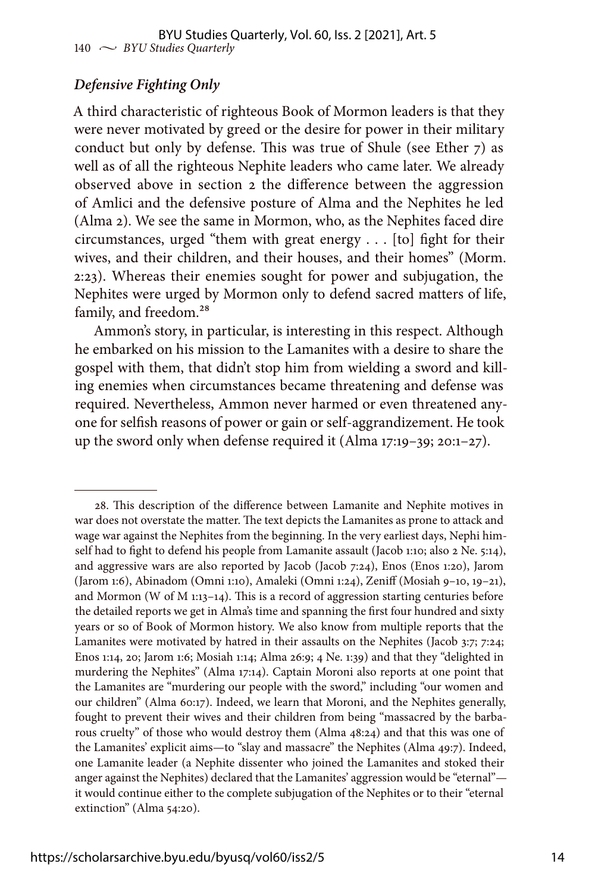## *Defensive Fighting Only*

A third characteristic of righteous Book of Mormon leaders is that they were never motivated by greed or the desire for power in their military conduct but only by defense. This was true of Shule (see Ether 7) as well as of all the righteous Nephite leaders who came later. We already observed above in section 2 the difference between the aggression of Amlici and the defensive posture of Alma and the Nephites he led (Alma 2). We see the same in Mormon, who, as the Nephites faced dire circumstances, urged "them with great energy . . . [to] fight for their wives, and their children, and their houses, and their homes" (Morm. 2:23). Whereas their enemies sought for power and subjugation, the Nephites were urged by Mormon only to defend sacred matters of life, family, and freedom.<sup>28</sup>

Ammon's story, in particular, is interesting in this respect. Although he embarked on his mission to the Lamanites with a desire to share the gospel with them, that didn't stop him from wielding a sword and killing enemies when circumstances became threatening and defense was required. Nevertheless, Ammon never harmed or even threatened anyone for selfish reasons of power or gain or self-aggrandizement. He took up the sword only when defense required it (Alma 17:19–39; 20:1–27).

<sup>28.</sup> This description of the difference between Lamanite and Nephite motives in war does not overstate the matter. The text depicts the Lamanites as prone to attack and wage war against the Nephites from the beginning. In the very earliest days, Nephi himself had to fight to defend his people from Lamanite assault (Jacob 1:10; also 2 Ne. 5:14), and aggressive wars are also reported by Jacob (Jacob 7:24), Enos (Enos 1:20), Jarom (Jarom 1:6), Abinadom (Omni 1:10), Amaleki (Omni 1:24), Zeniff (Mosiah 9–10, 19–21), and Mormon (W of M 1:13–14). This is a record of aggression starting centuries before the detailed reports we get in Alma's time and spanning the first four hundred and sixty years or so of Book of Mormon history. We also know from multiple reports that the Lamanites were motivated by hatred in their assaults on the Nephites (Jacob 3:7; 7:24; Enos 1:14, 20; Jarom 1:6; Mosiah 1:14; Alma 26:9; 4 Ne. 1:39) and that they "delighted in murdering the Nephites" (Alma 17:14). Captain Moroni also reports at one point that the Lamanites are "murdering our people with the sword," including "our women and our children" (Alma 60:17). Indeed, we learn that Moroni, and the Nephites generally, fought to prevent their wives and their children from being "massacred by the barbarous cruelty" of those who would destroy them (Alma 48:24) and that this was one of the Lamanites' explicit aims—to "slay and massacre" the Nephites (Alma 49:7). Indeed, one Lamanite leader (a Nephite dissenter who joined the Lamanites and stoked their anger against the Nephites) declared that the Lamanites' aggression would be "eternal" it would continue either to the complete subjugation of the Nephites or to their "eternal extinction" (Alma 54:20).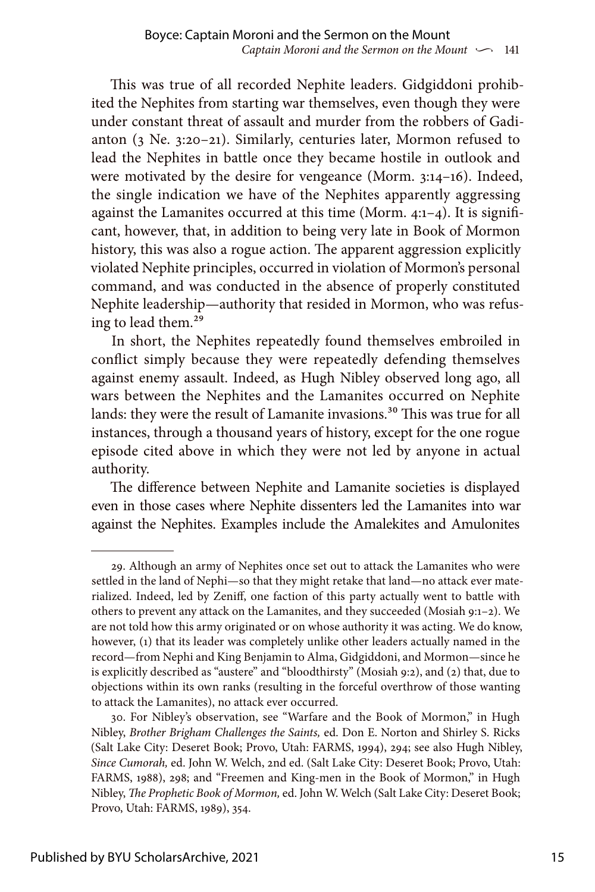This was true of all recorded Nephite leaders. Gidgiddoni prohibited the Nephites from starting war themselves, even though they were under constant threat of assault and murder from the robbers of Gadianton (3 Ne. 3:20–21). Similarly, centuries later, Mormon refused to lead the Nephites in battle once they became hostile in outlook and were motivated by the desire for vengeance (Morm. 3:14–16). Indeed, the single indication we have of the Nephites apparently aggressing against the Lamanites occurred at this time (Morm. 4:1–4). It is significant, however, that, in addition to being very late in Book of Mormon history, this was also a rogue action. The apparent aggression explicitly violated Nephite principles, occurred in violation of Mormon's personal command, and was conducted in the absence of properly constituted Nephite leadership—authority that resided in Mormon, who was refusing to lead them.29

In short, the Nephites repeatedly found themselves embroiled in conflict simply because they were repeatedly defending themselves against enemy assault. Indeed, as Hugh Nibley observed long ago, all wars between the Nephites and the Lamanites occurred on Nephite lands: they were the result of Lamanite invasions.<sup>30</sup> This was true for all instances, through a thousand years of history, except for the one rogue episode cited above in which they were not led by anyone in actual authority.

The difference between Nephite and Lamanite societies is displayed even in those cases where Nephite dissenters led the Lamanites into war against the Nephites. Examples include the Amalekites and Amulonites

<sup>29.</sup> Although an army of Nephites once set out to attack the Lamanites who were settled in the land of Nephi—so that they might retake that land—no attack ever materialized. Indeed, led by Zeniff, one faction of this party actually went to battle with others to prevent any attack on the Lamanites, and they succeeded (Mosiah 9:1–2). We are not told how this army originated or on whose authority it was acting. We do know, however, (1) that its leader was completely unlike other leaders actually named in the record—from Nephi and King Benjamin to Alma, Gidgiddoni, and Mormon—since he is explicitly described as "austere" and "bloodthirsty" (Mosiah 9:2), and (2) that, due to objections within its own ranks (resulting in the forceful overthrow of those wanting to attack the Lamanites), no attack ever occurred.

<sup>30.</sup> For Nibley's observation, see "Warfare and the Book of Mormon," in Hugh Nibley, *Brother Brigham Challenges the Saints,* ed. Don E. Norton and Shirley S. Ricks (Salt Lake City: Deseret Book; Provo, Utah: FARMS, 1994), 294; see also Hugh Nibley, *Since Cumorah,* ed. John W. Welch, 2nd ed. (Salt Lake City: Deseret Book; Provo, Utah: FARMS, 1988), 298; and "Freemen and King-men in the Book of Mormon," in Hugh Nibley, *The Prophetic Book of Mormon,* ed. John W. Welch (Salt Lake City: Deseret Book; Provo, Utah: FARMS, 1989), 354.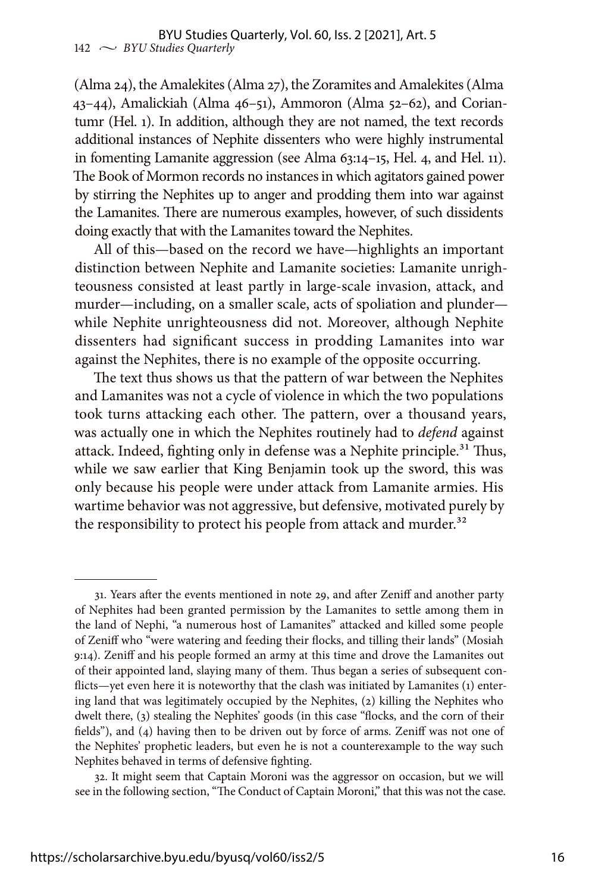(Alma 24), the Amalekites (Alma 27), the Zoramites and Amalekites (Alma 43–44), Amalickiah (Alma 46–51), Ammoron (Alma 52–62), and Coriantumr (Hel. 1). In addition, although they are not named, the text records additional instances of Nephite dissenters who were highly instrumental in fomenting Lamanite aggression (see Alma 63:14–15, Hel. 4, and Hel. 11). The Book of Mormon records no instances in which agitators gained power by stirring the Nephites up to anger and prodding them into war against the Lamanites. There are numerous examples, however, of such dissidents doing exactly that with the Lamanites toward the Nephites.

All of this—based on the record we have—highlights an important distinction between Nephite and Lamanite societies: Lamanite unrighteousness consisted at least partly in large-scale invasion, attack, and murder—including, on a smaller scale, acts of spoliation and plunder while Nephite unrighteousness did not. Moreover, although Nephite dissenters had significant success in prodding Lamanites into war against the Nephites, there is no example of the opposite occurring.

The text thus shows us that the pattern of war between the Nephites and Lamanites was not a cycle of violence in which the two populations took turns attacking each other. The pattern, over a thousand years, was actually one in which the Nephites routinely had to *defend* against attack. Indeed, fighting only in defense was a Nephite principle.<sup>31</sup> Thus, while we saw earlier that King Benjamin took up the sword, this was only because his people were under attack from Lamanite armies. His wartime behavior was not aggressive, but defensive, motivated purely by the responsibility to protect his people from attack and murder.<sup>32</sup>

<sup>31.</sup> Years after the events mentioned in note 29, and after Zeniff and another party of Nephites had been granted permission by the Lamanites to settle among them in the land of Nephi, "a numerous host of Lamanites" attacked and killed some people of Zeniff who "were watering and feeding their flocks, and tilling their lands" (Mosiah 9:14). Zeniff and his people formed an army at this time and drove the Lamanites out of their appointed land, slaying many of them. Thus began a series of subsequent conflicts—yet even here it is noteworthy that the clash was initiated by Lamanites (1) entering land that was legitimately occupied by the Nephites, (2) killing the Nephites who dwelt there, (3) stealing the Nephites' goods (in this case "flocks, and the corn of their fields"), and (4) having then to be driven out by force of arms. Zeniff was not one of the Nephites' prophetic leaders, but even he is not a counterexample to the way such Nephites behaved in terms of defensive fighting.

<sup>32.</sup> It might seem that Captain Moroni was the aggressor on occasion, but we will see in the following section, "The Conduct of Captain Moroni," that this was not the case.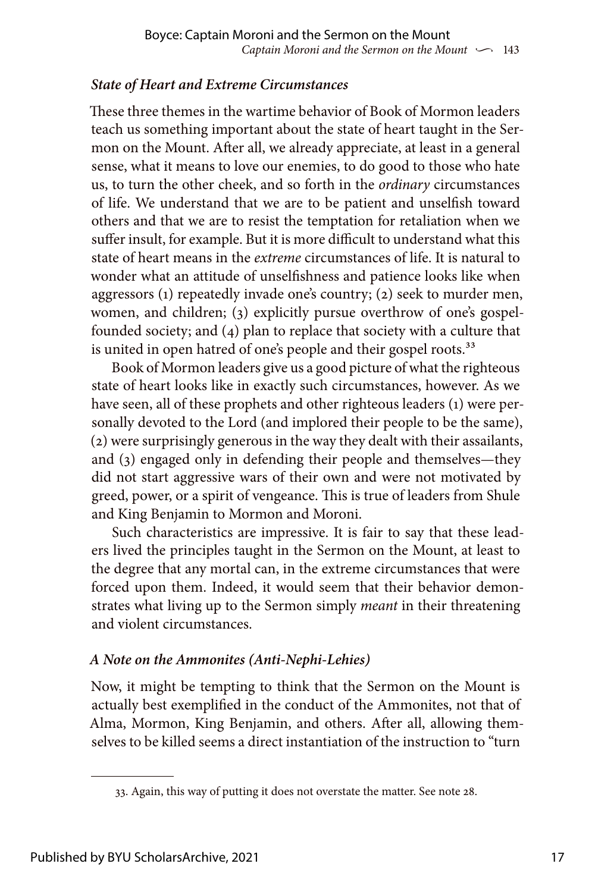# *State of Heart and Extreme Circumstances*

These three themes in the wartime behavior of Book of Mormon leaders teach us something important about the state of heart taught in the Sermon on the Mount. After all, we already appreciate, at least in a general sense, what it means to love our enemies, to do good to those who hate us, to turn the other cheek, and so forth in the *ordinary* circumstances of life. We understand that we are to be patient and unselfish toward others and that we are to resist the temptation for retaliation when we suffer insult, for example. But it is more difficult to understand what this state of heart means in the *extreme* circumstances of life. It is natural to wonder what an attitude of unselfishness and patience looks like when aggressors (1) repeatedly invade one's country; (2) seek to murder men, women, and children; (3) explicitly pursue overthrow of one's gospelfounded society; and (4) plan to replace that society with a culture that is united in open hatred of one's people and their gospel roots.<sup>33</sup>

Book of Mormon leaders give us a good picture of what the righteous state of heart looks like in exactly such circumstances, however. As we have seen, all of these prophets and other righteous leaders (1) were personally devoted to the Lord (and implored their people to be the same), (2) were surprisingly generous in the way they dealt with their assailants, and (3) engaged only in defending their people and themselves—they did not start aggressive wars of their own and were not motivated by greed, power, or a spirit of vengeance. This is true of leaders from Shule and King Benjamin to Mormon and Moroni.

Such characteristics are impressive. It is fair to say that these leaders lived the principles taught in the Sermon on the Mount, at least to the degree that any mortal can, in the extreme circumstances that were forced upon them. Indeed, it would seem that their behavior demonstrates what living up to the Sermon simply *meant* in their threatening and violent circumstances.

# *A Note on the Ammonites (Anti-Nephi-Lehies)*

Now, it might be tempting to think that the Sermon on the Mount is actually best exemplified in the conduct of the Ammonites, not that of Alma, Mormon, King Benjamin, and others. After all, allowing themselves to be killed seems a direct instantiation of the instruction to "turn

<sup>33.</sup> Again, this way of putting it does not overstate the matter. See note 28.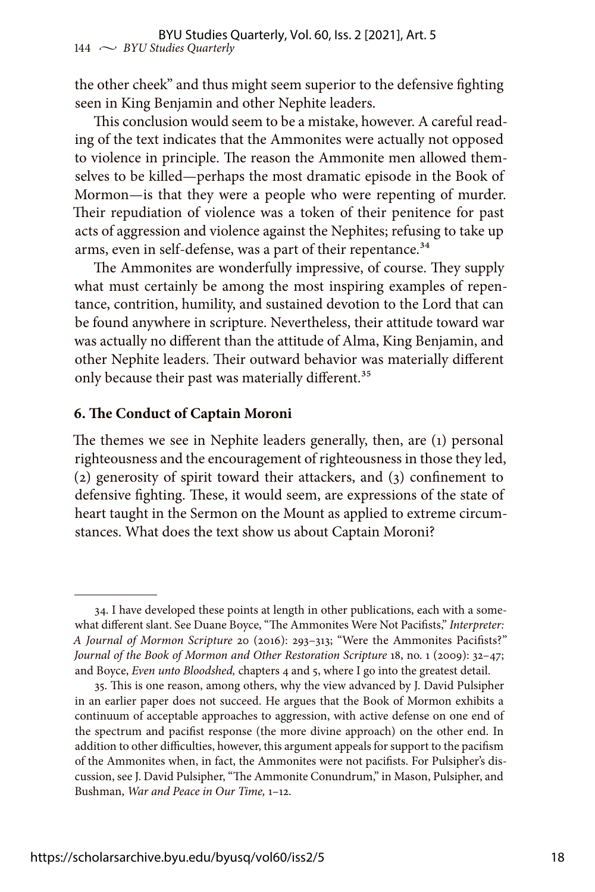the other cheek" and thus might seem superior to the defensive fighting seen in King Benjamin and other Nephite leaders.

This conclusion would seem to be a mistake, however. A careful reading of the text indicates that the Ammonites were actually not opposed to violence in principle. The reason the Ammonite men allowed themselves to be killed—perhaps the most dramatic episode in the Book of Mormon—is that they were a people who were repenting of murder. Their repudiation of violence was a token of their penitence for past acts of aggression and violence against the Nephites; refusing to take up arms, even in self-defense, was a part of their repentance.<sup>34</sup>

The Ammonites are wonderfully impressive, of course. They supply what must certainly be among the most inspiring examples of repentance, contrition, humility, and sustained devotion to the Lord that can be found anywhere in scripture. Nevertheless, their attitude toward war was actually no different than the attitude of Alma, King Benjamin, and other Nephite leaders. Their outward behavior was materially different only because their past was materially different.<sup>35</sup>

#### **6. The Conduct of Captain Moroni**

The themes we see in Nephite leaders generally, then, are (1) personal righteousness and the encouragement of righteousness in those they led, (2) generosity of spirit toward their attackers, and (3) confinement to defensive fighting. These, it would seem, are expressions of the state of heart taught in the Sermon on the Mount as applied to extreme circumstances. What does the text show us about Captain Moroni?

<sup>34.</sup> I have developed these points at length in other publications, each with a somewhat different slant. See Duane Boyce, "The Ammonites Were Not Pacifists," *Interpreter: A Journal of Mormon Scripture* 20 (2016): 293–313; "Were the Ammonites Pacifists?" *Journal of the Book of Mormon and Other Restoration Scripture* 18, no. 1 (2009): 32–47; and Boyce, *Even unto Bloodshed,* chapters 4 and 5, where I go into the greatest detail.

<sup>35.</sup> This is one reason, among others, why the view advanced by J. David Pulsipher in an earlier paper does not succeed. He argues that the Book of Mormon exhibits a continuum of acceptable approaches to aggression, with active defense on one end of the spectrum and pacifist response (the more divine approach) on the other end. In addition to other difficulties, however, this argument appeals for support to the pacifism of the Ammonites when, in fact, the Ammonites were not pacifists. For Pulsipher's discussion, see J. David Pulsipher, "The Ammonite Conundrum," in Mason, Pulsipher, and Bushman, *War and Peace in Our Time,* 1–12.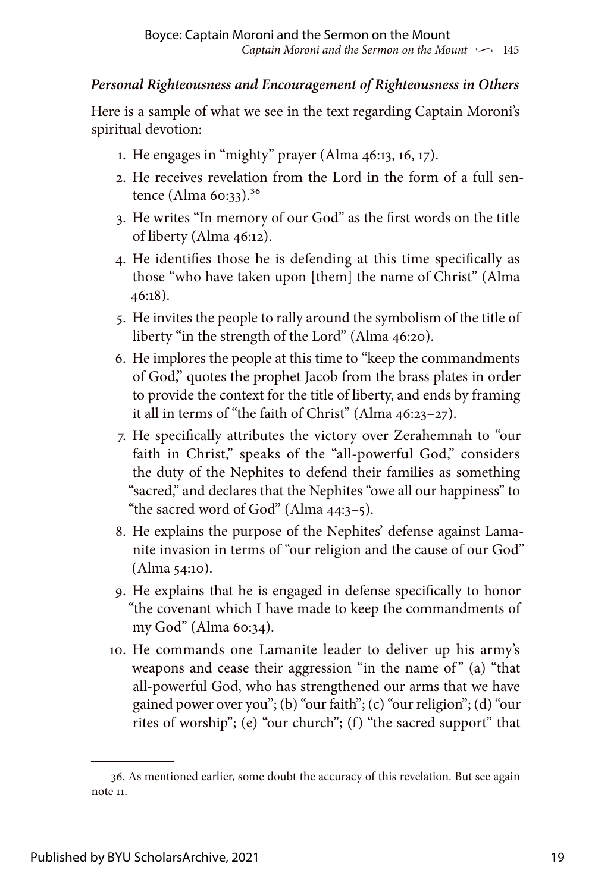# *Personal Righteousness and Encouragement of Righteousness in Others*

Here is a sample of what we see in the text regarding Captain Moroni's spiritual devotion:

- 1. He engages in "mighty" prayer (Alma 46:13, 16, 17).
- 2. He receives revelation from the Lord in the form of a full sentence (Alma 60:33).36
- 3. He writes "In memory of our God" as the first words on the title of liberty (Alma 46:12).
- 4. He identifies those he is defending at this time specifically as those "who have taken upon [them] the name of Christ" (Alma 46:18).
- 5. He invites the people to rally around the symbolism of the title of liberty "in the strength of the Lord" (Alma 46:20).
- 6. He implores the people at this time to "keep the commandments of God," quotes the prophet Jacob from the brass plates in order to provide the context for the title of liberty, and ends by framing it all in terms of "the faith of Christ" (Alma 46:23–27).
- 7. He specifically attributes the victory over Zerahemnah to "our faith in Christ," speaks of the "all-powerful God," considers the duty of the Nephites to defend their families as something "sacred," and declares that the Nephites "owe all our happiness" to "the sacred word of God" (Alma 44:3–5).
- 8. He explains the purpose of the Nephites' defense against Lamanite invasion in terms of "our religion and the cause of our God" (Alma 54:10).
- 9. He explains that he is engaged in defense specifically to honor "the covenant which I have made to keep the commandments of my God" (Alma 60:34).
- 10. He commands one Lamanite leader to deliver up his army's weapons and cease their aggression "in the name of" (a) "that all-powerful God, who has strengthened our arms that we have gained power over you"; (b) "our faith"; (c) "our religion"; (d) "our rites of worship"; (e) "our church"; (f) "the sacred support" that

<sup>36.</sup> As mentioned earlier, some doubt the accuracy of this revelation. But see again note 11.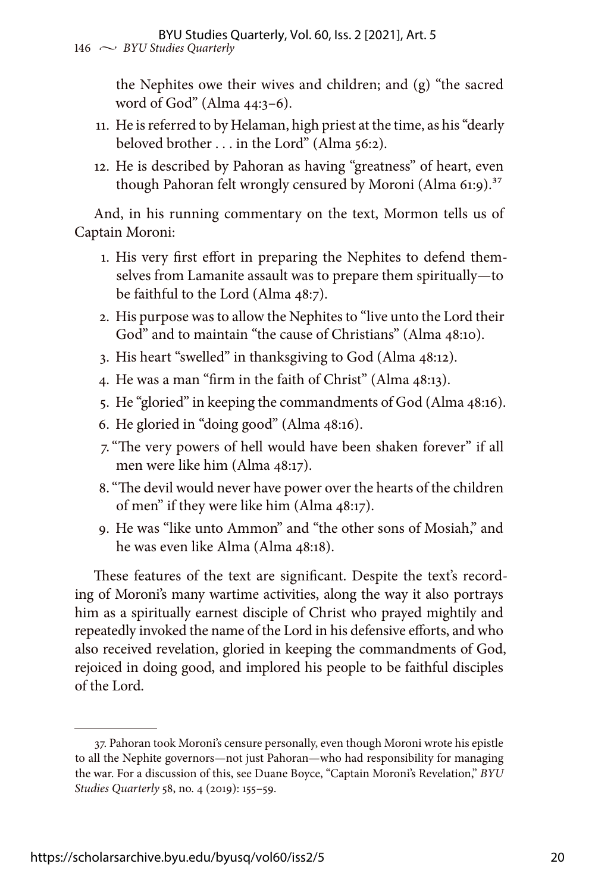the Nephites owe their wives and children; and (g) "the sacred word of God" (Alma 44:3–6).

- 11. He is referred to by Helaman, high priest at the time, as his "dearly beloved brother . . . in the Lord" (Alma 56:2).
- 12. He is described by Pahoran as having "greatness" of heart, even though Pahoran felt wrongly censured by Moroni (Alma 61:9).<sup>37</sup>

And, in his running commentary on the text, Mormon tells us of Captain Moroni:

- 1. His very first effort in preparing the Nephites to defend themselves from Lamanite assault was to prepare them spiritually—to be faithful to the Lord (Alma 48:7).
- 2. His purpose was to allow the Nephites to "live unto the Lord their God" and to maintain "the cause of Christians" (Alma 48:10).
- 3. His heart "swelled" in thanksgiving to God (Alma 48:12).
- 4. He was a man "firm in the faith of Christ" (Alma 48:13).
- 5. He "gloried" in keeping the commandments of God (Alma 48:16).
- 6. He gloried in "doing good" (Alma 48:16).
- 7."The very powers of hell would have been shaken forever" if all men were like him (Alma 48:17).
- 8."The devil would never have power over the hearts of the children of men" if they were like him (Alma 48:17).
- 9. He was "like unto Ammon" and "the other sons of Mosiah," and he was even like Alma (Alma 48:18).

These features of the text are significant. Despite the text's recording of Moroni's many wartime activities, along the way it also portrays him as a spiritually earnest disciple of Christ who prayed mightily and repeatedly invoked the name of the Lord in his defensive efforts, and who also received revelation, gloried in keeping the commandments of God, rejoiced in doing good, and implored his people to be faithful disciples of the Lord.

<sup>37.</sup> Pahoran took Moroni's censure personally, even though Moroni wrote his epistle to all the Nephite governors—not just Pahoran—who had responsibility for managing the war. For a discussion of this, see Duane Boyce, "Captain Moroni's Revelation," *BYU Studies Quarterly* 58, no. 4 (2019): 155–59.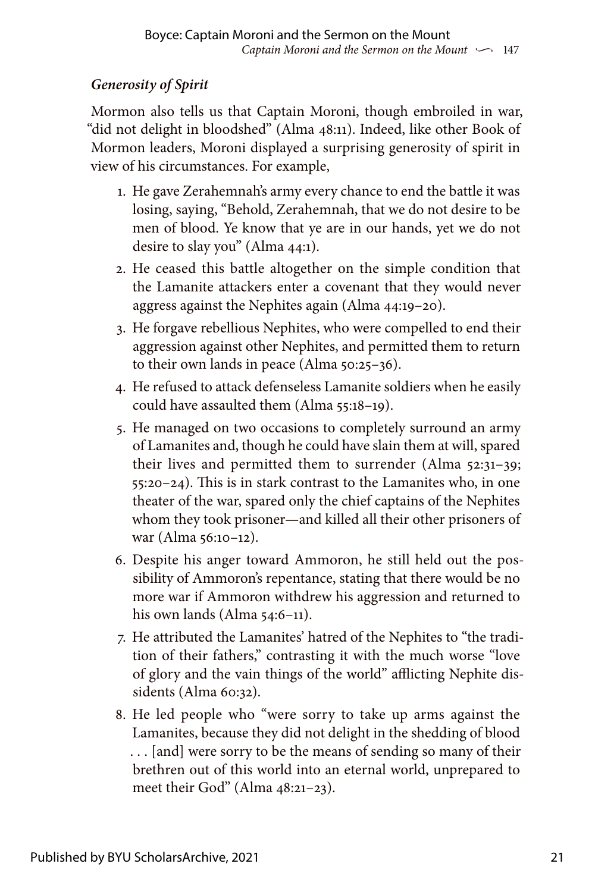# *Generosity of Spirit*

Mormon also tells us that Captain Moroni, though embroiled in war, "did not delight in bloodshed" (Alma 48:11). Indeed, like other Book of Mormon leaders, Moroni displayed a surprising generosity of spirit in view of his circumstances. For example,

- 1. He gave Zerahemnah's army every chance to end the battle it was losing, saying, "Behold, Zerahemnah, that we do not desire to be men of blood. Ye know that ye are in our hands, yet we do not desire to slay you" (Alma 44:1).
- 2. He ceased this battle altogether on the simple condition that the Lamanite attackers enter a covenant that they would never aggress against the Nephites again (Alma 44:19–20).
- 3. He forgave rebellious Nephites, who were compelled to end their aggression against other Nephites, and permitted them to return to their own lands in peace (Alma 50:25–36).
- 4. He refused to attack defenseless Lamanite soldiers when he easily could have assaulted them (Alma 55:18–19).
- 5. He managed on two occasions to completely surround an army of Lamanites and, though he could have slain them at will, spared their lives and permitted them to surrender (Alma 52:31–39; 55:20–24). This is in stark contrast to the Lamanites who, in one theater of the war, spared only the chief captains of the Nephites whom they took prisoner—and killed all their other prisoners of war (Alma 56:10–12).
- 6. Despite his anger toward Ammoron, he still held out the possibility of Ammoron's repentance, stating that there would be no more war if Ammoron withdrew his aggression and returned to his own lands (Alma 54:6–11).
- 7. He attributed the Lamanites' hatred of the Nephites to "the tradition of their fathers," contrasting it with the much worse "love of glory and the vain things of the world" afflicting Nephite dissidents (Alma 60:32).
- 8. He led people who "were sorry to take up arms against the Lamanites, because they did not delight in the shedding of blood . . . [and] were sorry to be the means of sending so many of their brethren out of this world into an eternal world, unprepared to meet their God" (Alma 48:21–23).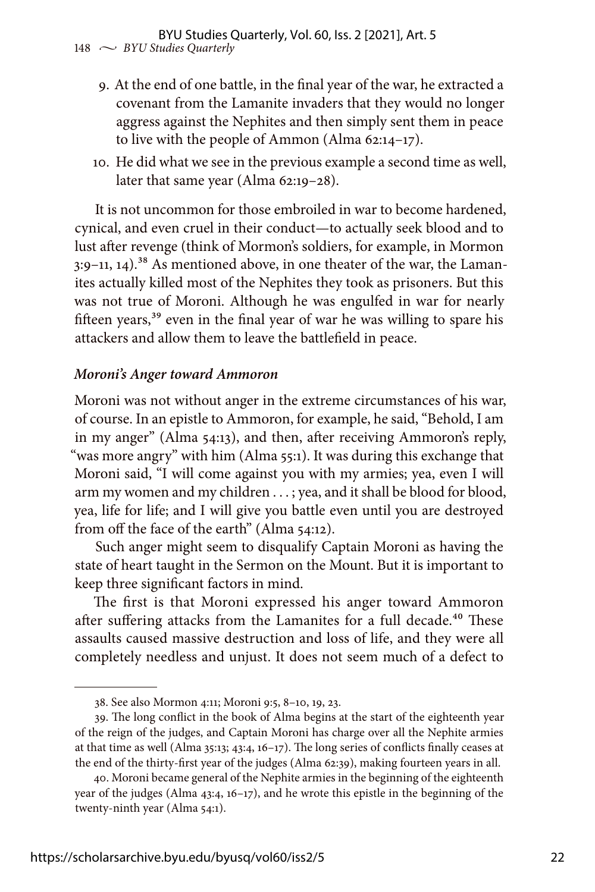- 9. At the end of one battle, in the final year of the war, he extracted a covenant from the Lamanite invaders that they would no longer aggress against the Nephites and then simply sent them in peace to live with the people of Ammon (Alma 62:14–17).
- 10. He did what we see in the previous example a second time as well, later that same year (Alma 62:19–28).

It is not uncommon for those embroiled in war to become hardened, cynical, and even cruel in their conduct—to actually seek blood and to lust after revenge (think of Mormon's soldiers, for example, in Mormon  $3:9-11$ ,  $14$ ).<sup>38</sup> As mentioned above, in one theater of the war, the Lamanites actually killed most of the Nephites they took as prisoners. But this was not true of Moroni. Although he was engulfed in war for nearly fifteen years,<sup>39</sup> even in the final year of war he was willing to spare his attackers and allow them to leave the battlefield in peace.

## *Moroni's Anger toward Ammoron*

Moroni was not without anger in the extreme circumstances of his war, of course. In an epistle to Ammoron, for example, he said, "Behold, I am in my anger" (Alma 54:13), and then, after receiving Ammoron's reply, "was more angry" with him (Alma 55:1). It was during this exchange that Moroni said, "I will come against you with my armies; yea, even I will arm my women and my children . . . ; yea, and it shall be blood for blood, yea, life for life; and I will give you battle even until you are destroyed from off the face of the earth" (Alma 54:12).

Such anger might seem to disqualify Captain Moroni as having the state of heart taught in the Sermon on the Mount. But it is important to keep three significant factors in mind.

The first is that Moroni expressed his anger toward Ammoron after suffering attacks from the Lamanites for a full decade.<sup>40</sup> These assaults caused massive destruction and loss of life, and they were all completely needless and unjust. It does not seem much of a defect to

<sup>38.</sup> See also Mormon 4:11; Moroni 9:5, 8–10, 19, 23.

<sup>39.</sup> The long conflict in the book of Alma begins at the start of the eighteenth year of the reign of the judges, and Captain Moroni has charge over all the Nephite armies at that time as well (Alma 35:13; 43:4, 16–17). The long series of conflicts finally ceases at the end of the thirty-first year of the judges (Alma 62:39), making fourteen years in all.

<sup>40.</sup> Moroni became general of the Nephite armies in the beginning of the eighteenth year of the judges (Alma 43:4, 16–17), and he wrote this epistle in the beginning of the twenty-ninth year (Alma 54:1).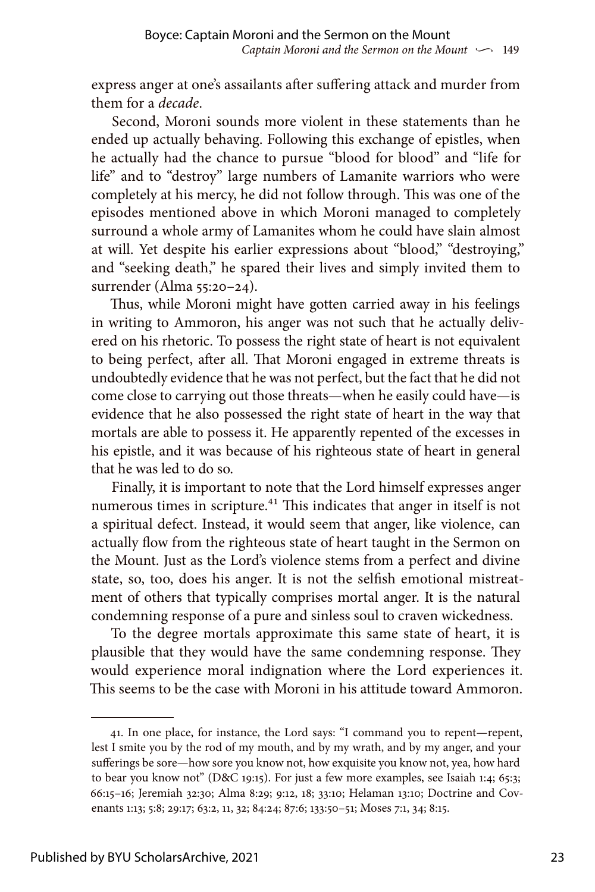express anger at one's assailants after suffering attack and murder from them for a *decade*.

Second, Moroni sounds more violent in these statements than he ended up actually behaving. Following this exchange of epistles, when he actually had the chance to pursue "blood for blood" and "life for life" and to "destroy" large numbers of Lamanite warriors who were completely at his mercy, he did not follow through. This was one of the episodes mentioned above in which Moroni managed to completely surround a whole army of Lamanites whom he could have slain almost at will. Yet despite his earlier expressions about "blood," "destroying," and "seeking death," he spared their lives and simply invited them to surrender (Alma 55:20–24).

Thus, while Moroni might have gotten carried away in his feelings in writing to Ammoron, his anger was not such that he actually delivered on his rhetoric. To possess the right state of heart is not equivalent to being perfect, after all. That Moroni engaged in extreme threats is undoubtedly evidence that he was not perfect, but the fact that he did not come close to carrying out those threats—when he easily could have—is evidence that he also possessed the right state of heart in the way that mortals are able to possess it. He apparently repented of the excesses in his epistle, and it was because of his righteous state of heart in general that he was led to do so.

Finally, it is important to note that the Lord himself expresses anger numerous times in scripture.<sup>41</sup> This indicates that anger in itself is not a spiritual defect. Instead, it would seem that anger, like violence, can actually flow from the righteous state of heart taught in the Sermon on the Mount. Just as the Lord's violence stems from a perfect and divine state, so, too, does his anger. It is not the selfish emotional mistreatment of others that typically comprises mortal anger. It is the natural condemning response of a pure and sinless soul to craven wickedness.

To the degree mortals approximate this same state of heart, it is plausible that they would have the same condemning response. They would experience moral indignation where the Lord experiences it. This seems to be the case with Moroni in his attitude toward Ammoron.

<sup>41.</sup> In one place, for instance, the Lord says: "I command you to repent—repent, lest I smite you by the rod of my mouth, and by my wrath, and by my anger, and your sufferings be sore—how sore you know not, how exquisite you know not, yea, how hard to bear you know not" (D&C 19:15). For just a few more examples, see Isaiah 1:4; 65:3; 66:15–16; Jeremiah 32:30; Alma 8:29; 9:12, 18; 33:10; Helaman 13:10; Doctrine and Covenants 1:13; 5:8; 29:17; 63:2, 11, 32; 84:24; 87:6; 133:50–51; Moses 7:1, 34; 8:15.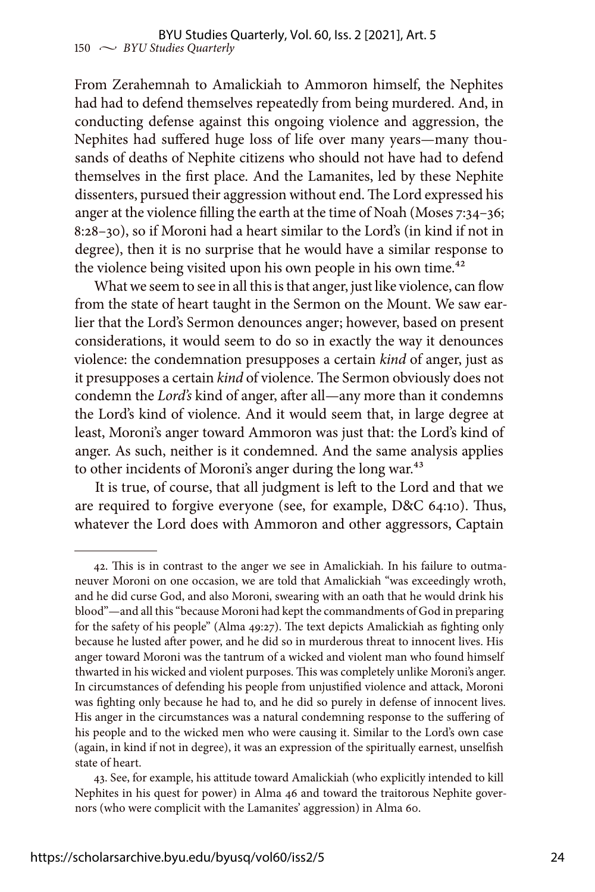From Zerahemnah to Amalickiah to Ammoron himself, the Nephites had had to defend themselves repeatedly from being murdered. And, in conducting defense against this ongoing violence and aggression, the Nephites had suffered huge loss of life over many years—many thousands of deaths of Nephite citizens who should not have had to defend themselves in the first place. And the Lamanites, led by these Nephite dissenters, pursued their aggression without end. The Lord expressed his anger at the violence filling the earth at the time of Noah (Moses 7:34–36; 8:28–30), so if Moroni had a heart similar to the Lord's (in kind if not in degree), then it is no surprise that he would have a similar response to the violence being visited upon his own people in his own time.<sup>42</sup>

What we seem to see in all this is that anger, just like violence, can flow from the state of heart taught in the Sermon on the Mount. We saw earlier that the Lord's Sermon denounces anger; however, based on present considerations, it would seem to do so in exactly the way it denounces violence: the condemnation presupposes a certain *kind* of anger, just as it presupposes a certain *kind* of violence. The Sermon obviously does not condemn the *Lord's* kind of anger, after all—any more than it condemns the Lord's kind of violence. And it would seem that, in large degree at least, Moroni's anger toward Ammoron was just that: the Lord's kind of anger. As such, neither is it condemned. And the same analysis applies to other incidents of Moroni's anger during the long war.<sup>43</sup>

It is true, of course, that all judgment is left to the Lord and that we are required to forgive everyone (see, for example, D&C 64:10). Thus, whatever the Lord does with Ammoron and other aggressors, Captain

<sup>42.</sup> This is in contrast to the anger we see in Amalickiah. In his failure to outmaneuver Moroni on one occasion, we are told that Amalickiah "was exceedingly wroth, and he did curse God, and also Moroni, swearing with an oath that he would drink his blood"—and all this "because Moroni had kept the commandments of God in preparing for the safety of his people" (Alma 49:27). The text depicts Amalickiah as fighting only because he lusted after power, and he did so in murderous threat to innocent lives. His anger toward Moroni was the tantrum of a wicked and violent man who found himself thwarted in his wicked and violent purposes. This was completely unlike Moroni's anger. In circumstances of defending his people from unjustified violence and attack, Moroni was fighting only because he had to, and he did so purely in defense of innocent lives. His anger in the circumstances was a natural condemning response to the suffering of his people and to the wicked men who were causing it. Similar to the Lord's own case (again, in kind if not in degree), it was an expression of the spiritually earnest, unselfish state of heart.

<sup>43.</sup> See, for example, his attitude toward Amalickiah (who explicitly intended to kill Nephites in his quest for power) in Alma 46 and toward the traitorous Nephite governors (who were complicit with the Lamanites' aggression) in Alma 60.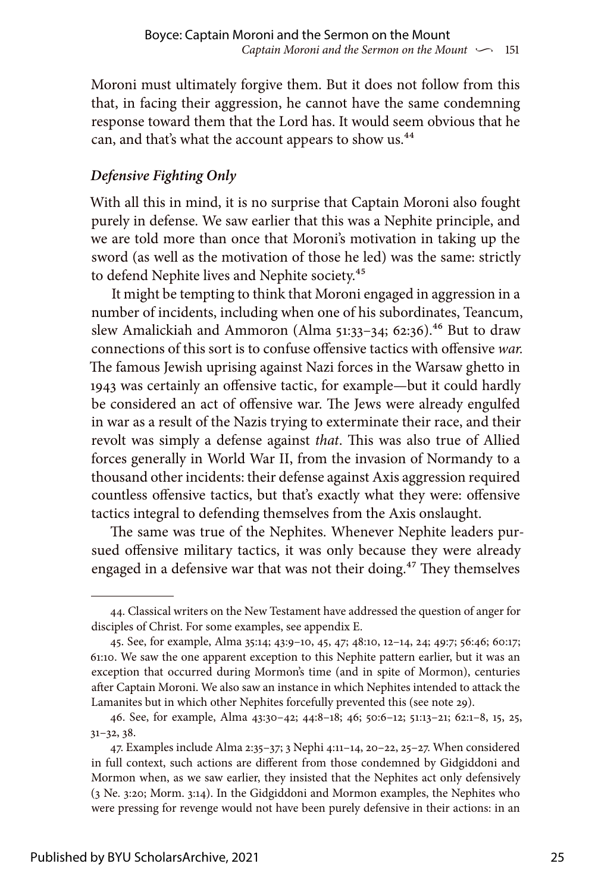Moroni must ultimately forgive them. But it does not follow from this that, in facing their aggression, he cannot have the same condemning response toward them that the Lord has. It would seem obvious that he can, and that's what the account appears to show us.<sup>44</sup>

# *Defensive Fighting Only*

With all this in mind, it is no surprise that Captain Moroni also fought purely in defense. We saw earlier that this was a Nephite principle, and we are told more than once that Moroni's motivation in taking up the sword (as well as the motivation of those he led) was the same: strictly to defend Nephite lives and Nephite society.<sup>45</sup>

It might be tempting to think that Moroni engaged in aggression in a number of incidents, including when one of his subordinates, Teancum, slew Amalickiah and Ammoron (Alma  $51:33-34$ ; 62:36).<sup>46</sup> But to draw connections of this sort is to confuse offensive tactics with offensive *war.* The famous Jewish uprising against Nazi forces in the Warsaw ghetto in 1943 was certainly an offensive tactic, for example—but it could hardly be considered an act of offensive war. The Jews were already engulfed in war as a result of the Nazis trying to exterminate their race, and their revolt was simply a defense against *that*. This was also true of Allied forces generally in World War II, from the invasion of Normandy to a thousand other incidents: their defense against Axis aggression required countless offensive tactics, but that's exactly what they were: offensive tactics integral to defending themselves from the Axis onslaught.

The same was true of the Nephites. Whenever Nephite leaders pursued offensive military tactics, it was only because they were already engaged in a defensive war that was not their doing.<sup>47</sup> They themselves

<sup>44.</sup> Classical writers on the New Testament have addressed the question of anger for disciples of Christ. For some examples, see appendix E.

<sup>45.</sup> See, for example, Alma 35:14; 43:9–10, 45, 47; 48:10, 12–14, 24; 49:7; 56:46; 60:17; 61:10. We saw the one apparent exception to this Nephite pattern earlier, but it was an exception that occurred during Mormon's time (and in spite of Mormon), centuries after Captain Moroni. We also saw an instance in which Nephites intended to attack the Lamanites but in which other Nephites forcefully prevented this (see note 29).

<sup>46.</sup> See, for example, Alma 43:30–42; 44:8–18; 46; 50:6–12; 51:13–21; 62:1–8, 15, 25, 31–32, 38.

<sup>47.</sup> Examples include Alma 2:35–37; 3 Nephi 4:11–14, 20–22, 25–27. When considered in full context, such actions are different from those condemned by Gidgiddoni and Mormon when, as we saw earlier, they insisted that the Nephites act only defensively (3 Ne. 3:20; Morm. 3:14). In the Gidgiddoni and Mormon examples, the Nephites who were pressing for revenge would not have been purely defensive in their actions: in an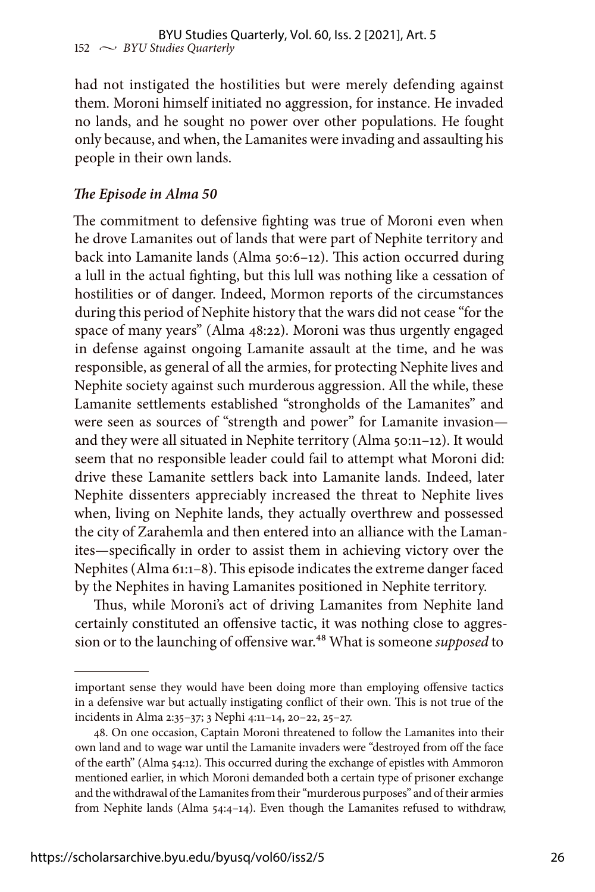had not instigated the hostilities but were merely defending against them. Moroni himself initiated no aggression, for instance. He invaded no lands, and he sought no power over other populations. He fought only because, and when, the Lamanites were invading and assaulting his people in their own lands.

### *The Episode in Alma 50*

The commitment to defensive fighting was true of Moroni even when he drove Lamanites out of lands that were part of Nephite territory and back into Lamanite lands (Alma 50:6–12). This action occurred during a lull in the actual fighting, but this lull was nothing like a cessation of hostilities or of danger. Indeed, Mormon reports of the circumstances during this period of Nephite history that the wars did not cease "for the space of many years" (Alma 48:22). Moroni was thus urgently engaged in defense against ongoing Lamanite assault at the time, and he was responsible, as general of all the armies, for protecting Nephite lives and Nephite society against such murderous aggression. All the while, these Lamanite settlements established "strongholds of the Lamanites" and were seen as sources of "strength and power" for Lamanite invasion and they were all situated in Nephite territory (Alma 50:11–12). It would seem that no responsible leader could fail to attempt what Moroni did: drive these Lamanite settlers back into Lamanite lands. Indeed, later Nephite dissenters appreciably increased the threat to Nephite lives when, living on Nephite lands, they actually overthrew and possessed the city of Zarahemla and then entered into an alliance with the Lamanites—specifically in order to assist them in achieving victory over the Nephites (Alma 61:1–8). This episode indicates the extreme danger faced by the Nephites in having Lamanites positioned in Nephite territory.

Thus, while Moroni's act of driving Lamanites from Nephite land certainly constituted an offensive tactic, it was nothing close to aggression or to the launching of offensive war.<sup>48</sup> What is someone *supposed* to

important sense they would have been doing more than employing offensive tactics in a defensive war but actually instigating conflict of their own. This is not true of the incidents in Alma 2:35–37; 3 Nephi 4:11–14, 20–22, 25–27.

<sup>48.</sup> On one occasion, Captain Moroni threatened to follow the Lamanites into their own land and to wage war until the Lamanite invaders were "destroyed from off the face of the earth" (Alma 54:12). This occurred during the exchange of epistles with Ammoron mentioned earlier, in which Moroni demanded both a certain type of prisoner exchange and the withdrawal of the Lamanites from their "murderous purposes" and of their armies from Nephite lands (Alma 54:4–14). Even though the Lamanites refused to withdraw,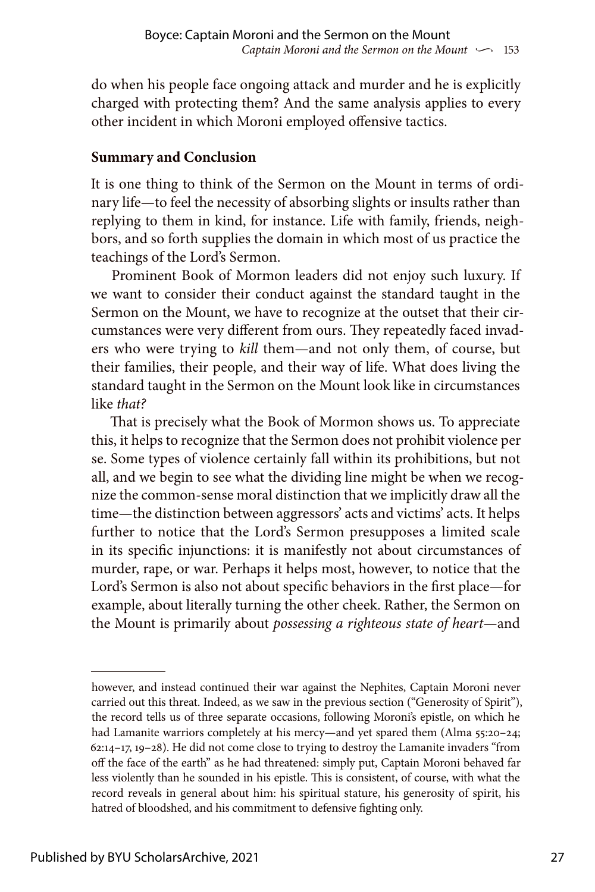do when his people face ongoing attack and murder and he is explicitly charged with protecting them? And the same analysis applies to every other incident in which Moroni employed offensive tactics.

# **Summary and Conclusion**

It is one thing to think of the Sermon on the Mount in terms of ordinary life—to feel the necessity of absorbing slights or insults rather than replying to them in kind, for instance. Life with family, friends, neighbors, and so forth supplies the domain in which most of us practice the teachings of the Lord's Sermon.

Prominent Book of Mormon leaders did not enjoy such luxury. If we want to consider their conduct against the standard taught in the Sermon on the Mount, we have to recognize at the outset that their circumstances were very different from ours. They repeatedly faced invaders who were trying to *kill* them—and not only them, of course, but their families, their people, and their way of life. What does living the standard taught in the Sermon on the Mount look like in circumstances like *that?*

That is precisely what the Book of Mormon shows us. To appreciate this, it helps to recognize that the Sermon does not prohibit violence per se. Some types of violence certainly fall within its prohibitions, but not all, and we begin to see what the dividing line might be when we recognize the common-sense moral distinction that we implicitly draw all the time—the distinction between aggressors' acts and victims' acts. It helps further to notice that the Lord's Sermon presupposes a limited scale in its specific injunctions: it is manifestly not about circumstances of murder, rape, or war. Perhaps it helps most, however, to notice that the Lord's Sermon is also not about specific behaviors in the first place—for example, about literally turning the other cheek. Rather, the Sermon on the Mount is primarily about *possessing a righteous state of heart*—and

however, and instead continued their war against the Nephites, Captain Moroni never carried out this threat. Indeed, as we saw in the previous section ("Generosity of Spirit"), the record tells us of three separate occasions, following Moroni's epistle, on which he had Lamanite warriors completely at his mercy—and yet spared them (Alma 55:20-24; 62:14–17, 19–28). He did not come close to trying to destroy the Lamanite invaders "from off the face of the earth" as he had threatened: simply put, Captain Moroni behaved far less violently than he sounded in his epistle. This is consistent, of course, with what the record reveals in general about him: his spiritual stature, his generosity of spirit, his hatred of bloodshed, and his commitment to defensive fighting only.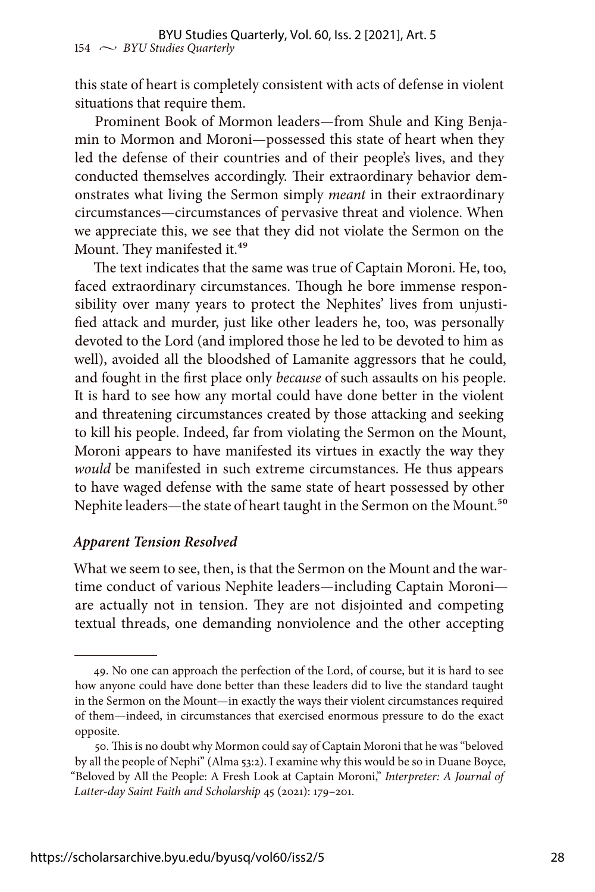this state of heart is completely consistent with acts of defense in violent situations that require them.

Prominent Book of Mormon leaders—from Shule and King Benjamin to Mormon and Moroni—possessed this state of heart when they led the defense of their countries and of their people's lives, and they conducted themselves accordingly. Their extraordinary behavior demonstrates what living the Sermon simply *meant* in their extraordinary circumstances—circumstances of pervasive threat and violence. When we appreciate this, we see that they did not violate the Sermon on the Mount. They manifested it.<sup>49</sup>

The text indicates that the same was true of Captain Moroni. He, too, faced extraordinary circumstances. Though he bore immense responsibility over many years to protect the Nephites' lives from unjustified attack and murder, just like other leaders he, too, was personally devoted to the Lord (and implored those he led to be devoted to him as well), avoided all the bloodshed of Lamanite aggressors that he could, and fought in the first place only *because* of such assaults on his people. It is hard to see how any mortal could have done better in the violent and threatening circumstances created by those attacking and seeking to kill his people. Indeed, far from violating the Sermon on the Mount, Moroni appears to have manifested its virtues in exactly the way they *would* be manifested in such extreme circumstances. He thus appears to have waged defense with the same state of heart possessed by other Nephite leaders—the state of heart taught in the Sermon on the Mount.<sup>50</sup>

#### *Apparent Tension Resolved*

What we seem to see, then, is that the Sermon on the Mount and the wartime conduct of various Nephite leaders—including Captain Moroni are actually not in tension. They are not disjointed and competing textual threads, one demanding nonviolence and the other accepting

<sup>49.</sup> No one can approach the perfection of the Lord, of course, but it is hard to see how anyone could have done better than these leaders did to live the standard taught in the Sermon on the Mount—in exactly the ways their violent circumstances required of them—indeed, in circumstances that exercised enormous pressure to do the exact opposite.

<sup>50.</sup> This is no doubt why Mormon could say of Captain Moroni that he was "beloved by all the people of Nephi" (Alma 53:2). I examine why this would be so in Duane Boyce, "Beloved by All the People: A Fresh Look at Captain Moroni," *Interpreter: A Journal of Latter-day Saint Faith and Scholarship* 45 (2021): 179–201.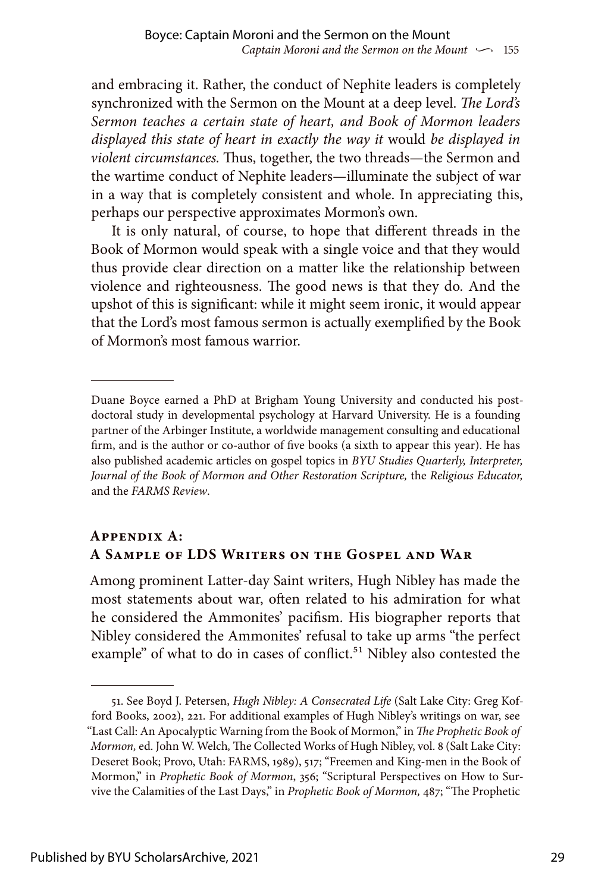and embracing it. Rather, the conduct of Nephite leaders is completely synchronized with the Sermon on the Mount at a deep level. *The Lord's Sermon teaches a certain state of heart, and Book of Mormon leaders displayed this state of heart in exactly the way it* would *be displayed in violent circumstances.* Thus, together, the two threads—the Sermon and the wartime conduct of Nephite leaders—illuminate the subject of war in a way that is completely consistent and whole. In appreciating this, perhaps our perspective approximates Mormon's own.

It is only natural, of course, to hope that different threads in the Book of Mormon would speak with a single voice and that they would thus provide clear direction on a matter like the relationship between violence and righteousness. The good news is that they do. And the upshot of this is significant: while it might seem ironic, it would appear that the Lord's most famous sermon is actually exemplified by the Book of Mormon's most famous warrior.

# **Appendix A: A Sample of LDS Writers on the Gospel and War**

Among prominent Latter-day Saint writers, Hugh Nibley has made the most statements about war, often related to his admiration for what he considered the Ammonites' pacifism. His biographer reports that Nibley considered the Ammonites' refusal to take up arms "the perfect example" of what to do in cases of conflict.<sup>51</sup> Nibley also contested the

Duane Boyce earned a PhD at Brigham Young University and conducted his postdoctoral study in developmental psychology at Harvard University. He is a founding partner of the Arbinger Institute, a worldwide management consulting and educational firm, and is the author or co-author of five books (a sixth to appear this year). He has also published academic articles on gospel topics in *BYU Studies Quarterly, Interpreter, Journal of the Book of Mormon and Other Restoration Scripture,* the *Religious Educator,* and the *FARMS Review*.

<sup>51.</sup> See Boyd J. Petersen, *Hugh Nibley: A Consecrated Life* (Salt Lake City: Greg Kofford Books, 2002), 221. For additional examples of Hugh Nibley's writings on war, see "Last Call: An Apocalyptic Warning from the Book of Mormon," in *The Prophetic Book of Mormon,* ed. John W. Welch*,* The Collected Works of Hugh Nibley, vol. 8 (Salt Lake City: Deseret Book; Provo, Utah: FARMS, 1989), 517; "Freemen and King-men in the Book of Mormon," in *Prophetic Book of Mormon*, 356; "Scriptural Perspectives on How to Survive the Calamities of the Last Days," in *Prophetic Book of Mormon,* 487; "The Prophetic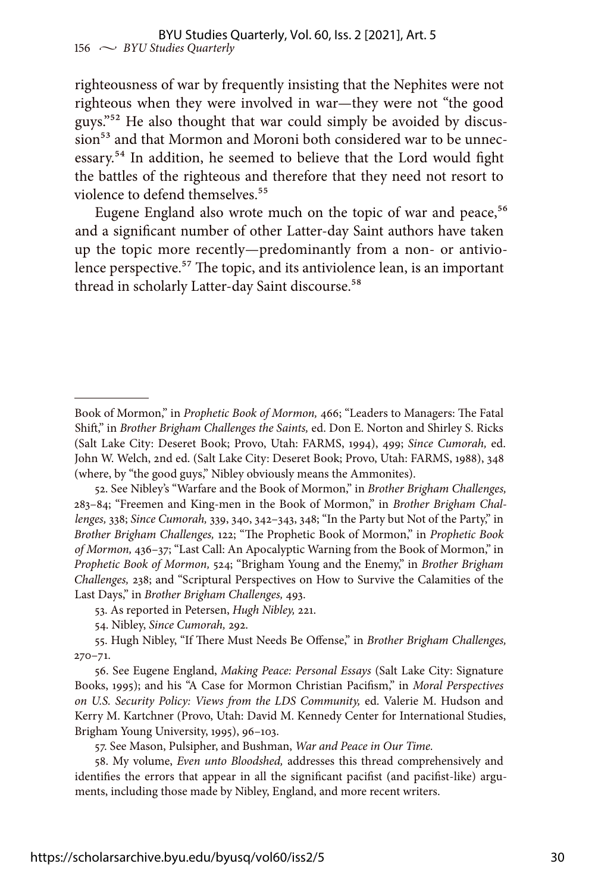righteousness of war by frequently insisting that the Nephites were not righteous when they were involved in war—they were not "the good guys."52 He also thought that war could simply be avoided by discussion<sup>53</sup> and that Mormon and Moroni both considered war to be unnecessary.54 In addition, he seemed to believe that the Lord would fight the battles of the righteous and therefore that they need not resort to violence to defend themselves.<sup>55</sup>

Eugene England also wrote much on the topic of war and peace,<sup>56</sup> and a significant number of other Latter-day Saint authors have taken up the topic more recently—predominantly from a non- or antiviolence perspective.<sup>57</sup> The topic, and its antiviolence lean, is an important thread in scholarly Latter-day Saint discourse.<sup>58</sup>

Book of Mormon," in *Prophetic Book of Mormon,* 466; "Leaders to Managers: The Fatal Shift," in *Brother Brigham Challenges the Saints,* ed. Don E. Norton and Shirley S. Ricks (Salt Lake City: Deseret Book; Provo, Utah: FARMS, 1994), 499; *Since Cumorah,* ed. John W. Welch, 2nd ed. (Salt Lake City: Deseret Book; Provo, Utah: FARMS, 1988), 348 (where, by "the good guys," Nibley obviously means the Ammonites).

<sup>52.</sup> See Nibley's "Warfare and the Book of Mormon," in *Brother Brigham Challenges,* 283–84; "Freemen and King-men in the Book of Mormon," in *Brother Brigham Challenges,* 338; *Since Cumorah,* 339, 340, 342–343, 348; "In the Party but Not of the Party," in *Brother Brigham Challenges,* 122; "The Prophetic Book of Mormon," in *Prophetic Book of Mormon,* 436–37; "Last Call: An Apocalyptic Warning from the Book of Mormon," in *Prophetic Book of Mormon,* 524; "Brigham Young and the Enemy," in *Brother Brigham Challenges,* 238; and "Scriptural Perspectives on How to Survive the Calamities of the Last Days," in *Brother Brigham Challenges,* 493.

<sup>53.</sup> As reported in Petersen, *Hugh Nibley,* 221.

<sup>54.</sup> Nibley, *Since Cumorah,* 292.

<sup>55.</sup> Hugh Nibley, "If There Must Needs Be Offense," in *Brother Brigham Challenges,* 270–71.

<sup>56.</sup> See Eugene England, *Making Peace: Personal Essays* (Salt Lake City: Signature Books, 1995); and his "A Case for Mormon Christian Pacifism," in *Moral Perspectives on U.S. Security Policy: Views from the LDS Community,* ed. Valerie M. Hudson and Kerry M. Kartchner (Provo, Utah: David M. Kennedy Center for International Studies, Brigham Young University, 1995), 96–103.

<sup>57.</sup> See Mason, Pulsipher, and Bushman, *War and Peace in Our Time.*

<sup>58.</sup> My volume, *Even unto Bloodshed,* addresses this thread comprehensively and identifies the errors that appear in all the significant pacifist (and pacifist-like) arguments, including those made by Nibley, England, and more recent writers.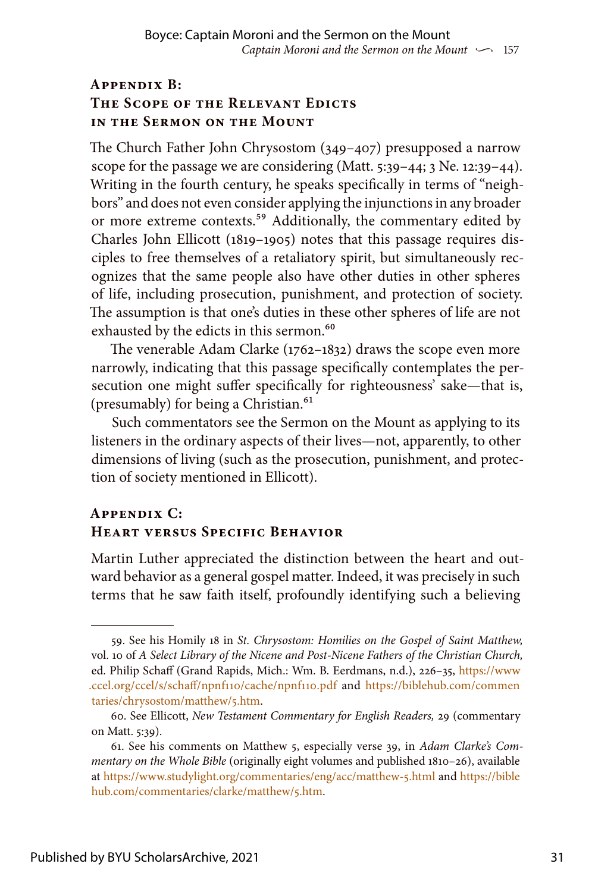## **Appendix B: The Scope of the Relevant Edicts in the Sermon on the Mount**

The Church Father John Chrysostom (349–407) presupposed a narrow scope for the passage we are considering (Matt. 5:39–44; 3 Ne. 12:39–44). Writing in the fourth century, he speaks specifically in terms of "neighbors" and does not even consider applying the injunctions in any broader or more extreme contexts.<sup>59</sup> Additionally, the commentary edited by Charles John Ellicott (1819–1905) notes that this passage requires disciples to free themselves of a retaliatory spirit, but simultaneously recognizes that the same people also have other duties in other spheres of life, including prosecution, punishment, and protection of society. The assumption is that one's duties in these other spheres of life are not exhausted by the edicts in this sermon.<sup>60</sup>

The venerable Adam Clarke (1762–1832) draws the scope even more narrowly, indicating that this passage specifically contemplates the persecution one might suffer specifically for righteousness' sake—that is, (presumably) for being a Christian.<sup>61</sup>

Such commentators see the Sermon on the Mount as applying to its listeners in the ordinary aspects of their lives—not, apparently, to other dimensions of living (such as the prosecution, punishment, and protection of society mentioned in Ellicott).

# **Appendix C: Heart versus Specific Behavior**

Martin Luther appreciated the distinction between the heart and outward behavior as a general gospel matter. Indeed, it was precisely in such terms that he saw faith itself, profoundly identifying such a believing

<sup>59.</sup> See his Homily 18 in *St. Chrysostom: Homilies on the Gospel of Saint Matthew,* vol. 10 of *A Select Library of the Nicene and Post-Nicene Fathers of the Christian Church,* ed. Philip Schaff (Grand Rapids, Mich.: Wm. B. Eerdmans, n.d.), 226–35, [https://www](https://www.ccel.org/ccel/s/schaff/npnf110/cache/npnf110.pdf) [.ccel.org/ccel/s/schaff/npnf110/cache/npnf110.pdf](https://www.ccel.org/ccel/s/schaff/npnf110/cache/npnf110.pdf) and [https://biblehub.com/commen](https://biblehub.com/commentaries/chrysostom/matthew/5.htm) [taries/chrysostom/matthew/5.htm.](https://biblehub.com/commentaries/chrysostom/matthew/5.htm)

<sup>60.</sup> See Ellicott, *New Testament Commentary for English Readers,* 29 (commentary on Matt. 5:39).

<sup>61.</sup> See his comments on Matthew 5, especially verse 39, in *Adam Clarke's Commentary on the Whole Bible* (originally eight volumes and published 1810–26), available at <https://www.studylight.org/commentaries/eng/acc/matthew-5.html> and [https://bible](https://biblehub.com/commentaries/clarke/matthew/5.htm) [hub.com/commentaries/clarke/matthew/5.htm](https://biblehub.com/commentaries/clarke/matthew/5.htm).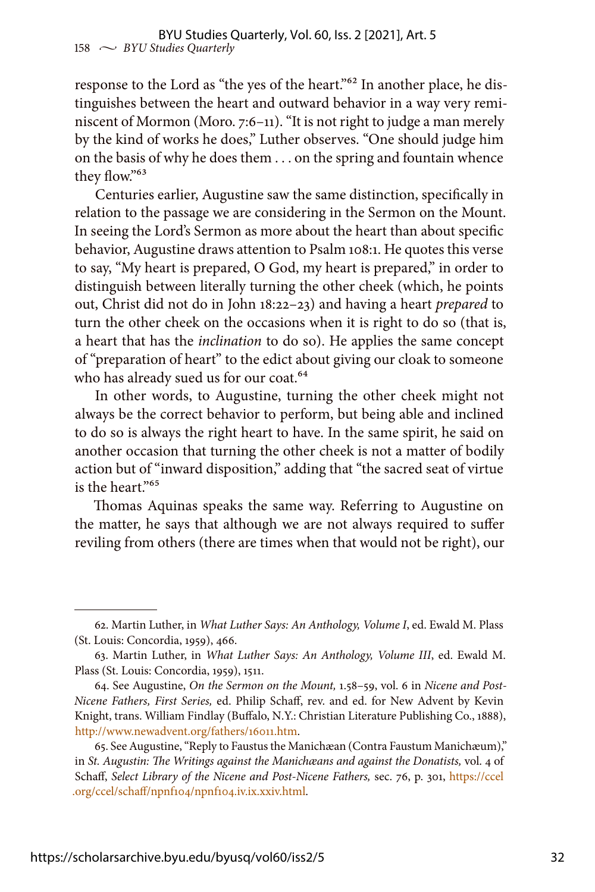response to the Lord as "the yes of the heart."62 In another place, he distinguishes between the heart and outward behavior in a way very reminiscent of Mormon (Moro. 7:6–11). "It is not right to judge a man merely by the kind of works he does," Luther observes. "One should judge him on the basis of why he does them . . . on the spring and fountain whence they flow."<sup>63</sup>

Centuries earlier, Augustine saw the same distinction, specifically in relation to the passage we are considering in the Sermon on the Mount. In seeing the Lord's Sermon as more about the heart than about specific behavior, Augustine draws attention to Psalm 108:1. He quotes this verse to say, "My heart is prepared, O God, my heart is prepared," in order to distinguish between literally turning the other cheek (which, he points out, Christ did not do in John 18:22–23) and having a heart *prepared* to turn the other cheek on the occasions when it is right to do so (that is, a heart that has the *inclination* to do so). He applies the same concept of "preparation of heart" to the edict about giving our cloak to someone who has already sued us for our coat.<sup>64</sup>

In other words, to Augustine, turning the other cheek might not always be the correct behavior to perform, but being able and inclined to do so is always the right heart to have. In the same spirit, he said on another occasion that turning the other cheek is not a matter of bodily action but of "inward disposition," adding that "the sacred seat of virtue is the heart."65

Thomas Aquinas speaks the same way. Referring to Augustine on the matter, he says that although we are not always required to suffer reviling from others (there are times when that would not be right), our

<sup>62.</sup> Martin Luther, in *What Luther Says: An Anthology, Volume I*, ed. Ewald M. Plass (St. Louis: Concordia, 1959), 466.

<sup>63.</sup> Martin Luther, in *What Luther Says: An Anthology, Volume III*, ed. Ewald M. Plass (St. Louis: Concordia, 1959), 1511.

<sup>64.</sup> See Augustine, *On the Sermon on the Mount,* 1.58–59, vol. 6 in *Nicene and Post-Nicene Fathers, First Series,* ed. Philip Schaff, rev. and ed. for New Advent by Kevin Knight, trans. William Findlay (Buffalo, N.Y.: Christian Literature Publishing Co., 1888), [http://www.newadvent.org/fathers/16011.htm.](http://www.newadvent.org/fathers/16011.htm)

<sup>65.</sup> See Augustine, "Reply to Faustus the Manichæan (Contra Faustum Manichæum)," in *St. Augustin: The Writings against the Manichæans and against the Donatists,* vol. 4 of Schaff, *Select Library of the Nicene and Post-Nicene Fathers,* sec. 76, p. 301, [https://ccel](https://ccel.org/ccel/schaff/npnf104/npnf104.iv.ix.xxiv.html) [.org/ccel/schaff/npnf104/npnf104.iv.ix.xxiv.html.](https://ccel.org/ccel/schaff/npnf104/npnf104.iv.ix.xxiv.html)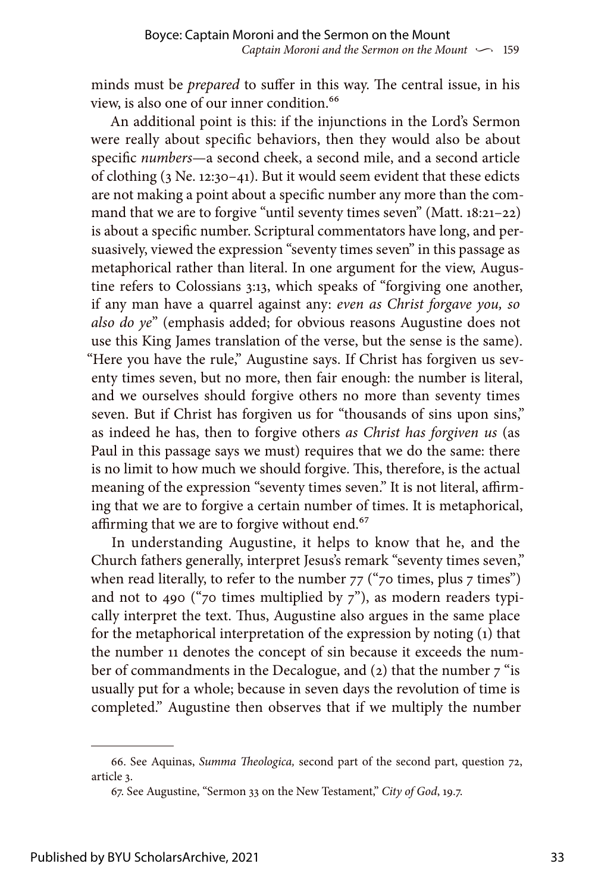minds must be *prepared* to suffer in this way. The central issue, in his view, is also one of our inner condition.<sup>66</sup>

An additional point is this: if the injunctions in the Lord's Sermon were really about specific behaviors, then they would also be about specific *numbers*—a second cheek, a second mile, and a second article of clothing (3 Ne. 12:30–41). But it would seem evident that these edicts are not making a point about a specific number any more than the command that we are to forgive "until seventy times seven" (Matt. 18:21-22) is about a specific number. Scriptural commentators have long, and persuasively, viewed the expression "seventy times seven" in this passage as metaphorical rather than literal. In one argument for the view, Augustine refers to Colossians 3:13, which speaks of "forgiving one another, if any man have a quarrel against any: *even as Christ forgave you, so also do ye*" (emphasis added; for obvious reasons Augustine does not use this King James translation of the verse, but the sense is the same). "Here you have the rule," Augustine says. If Christ has forgiven us seventy times seven, but no more, then fair enough: the number is literal, and we ourselves should forgive others no more than seventy times seven. But if Christ has forgiven us for "thousands of sins upon sins," as indeed he has, then to forgive others *as Christ has forgiven us* (as Paul in this passage says we must) requires that we do the same: there is no limit to how much we should forgive. This, therefore, is the actual meaning of the expression "seventy times seven." It is not literal, affirming that we are to forgive a certain number of times. It is metaphorical, affirming that we are to forgive without end.<sup>67</sup>

In understanding Augustine, it helps to know that he, and the Church fathers generally, interpret Jesus's remark "seventy times seven," when read literally, to refer to the number  $77$  ( $\degree$ 70 times, plus 7 times") and not to 490 ("70 times multiplied by  $7$ "), as modern readers typically interpret the text. Thus, Augustine also argues in the same place for the metaphorical interpretation of the expression by noting (1) that the number 11 denotes the concept of sin because it exceeds the number of commandments in the Decalogue, and  $(2)$  that the number  $7$  "is usually put for a whole; because in seven days the revolution of time is completed." Augustine then observes that if we multiply the number

<sup>66.</sup> See Aquinas, *Summa Theologica,* second part of the second part, question 72, article 3.

<sup>67.</sup> See Augustine, "Sermon 33 on the New Testament," *City of God*, 19.7.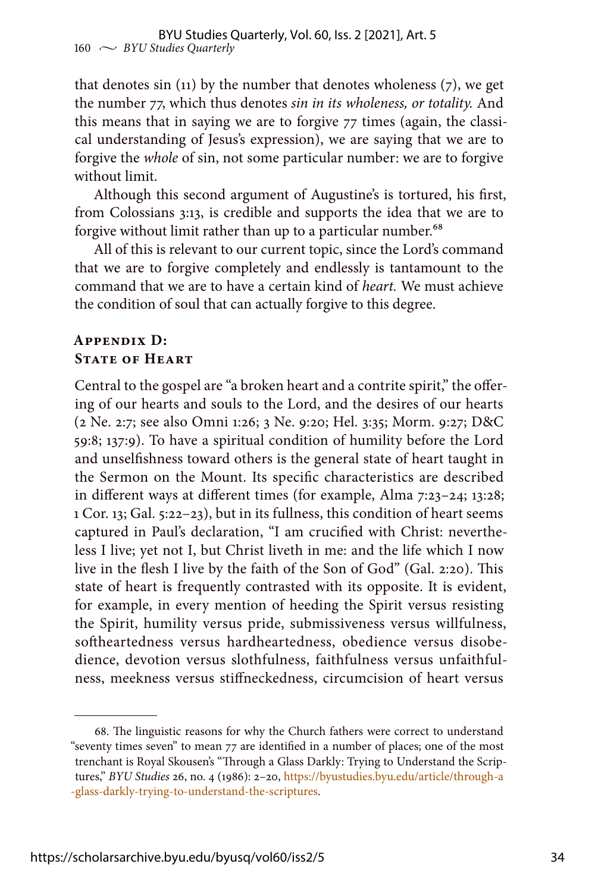that denotes sin (11) by the number that denotes wholeness (7), we get the number 77, which thus denotes *sin in its wholeness, or totality.* And this means that in saying we are to forgive 77 times (again, the classical understanding of Jesus's expression), we are saying that we are to forgive the *whole* of sin, not some particular number: we are to forgive without limit.

Although this second argument of Augustine's is tortured, his first, from Colossians 3:13, is credible and supports the idea that we are to forgive without limit rather than up to a particular number.<sup>68</sup>

All of this is relevant to our current topic, since the Lord's command that we are to forgive completely and endlessly is tantamount to the command that we are to have a certain kind of *heart.* We must achieve the condition of soul that can actually forgive to this degree.

### **Appendix D: STATE OF HEART**

Central to the gospel are "a broken heart and a contrite spirit," the offering of our hearts and souls to the Lord, and the desires of our hearts (2 Ne. 2:7; see also Omni 1:26; 3 Ne. 9:20; Hel. 3:35; Morm. 9:27; D&C 59:8; 137:9). To have a spiritual condition of humility before the Lord and unselfishness toward others is the general state of heart taught in the Sermon on the Mount. Its specific characteristics are described in different ways at different times (for example, Alma 7:23–24; 13:28; 1 Cor. 13; Gal. 5:22–23), but in its fullness, this condition of heart seems captured in Paul's declaration, "I am crucified with Christ: nevertheless I live; yet not I, but Christ liveth in me: and the life which I now live in the flesh I live by the faith of the Son of God" (Gal. 2:20). This state of heart is frequently contrasted with its opposite. It is evident, for example, in every mention of heeding the Spirit versus resisting the Spirit, humility versus pride, submissiveness versus willfulness, softheartedness versus hardheartedness, obedience versus disobedience, devotion versus slothfulness, faithfulness versus unfaithfulness, meekness versus stiffneckedness, circumcision of heart versus

<sup>68.</sup> The linguistic reasons for why the Church fathers were correct to understand "seventy times seven" to mean 77 are identified in a number of places; one of the most trenchant is Royal Skousen's "Through a Glass Darkly: Trying to Understand the Scriptures," *BYU Studies* 26, no. 4 (1986): 2–20, [https://byustudies.byu.edu/article/through-a](https://byustudies.byu.edu/article/through-a-glass-darkly-trying-to-understand-the-scriptures) [-glass-darkly-trying-to-understand-the-scriptures.](https://byustudies.byu.edu/article/through-a-glass-darkly-trying-to-understand-the-scriptures)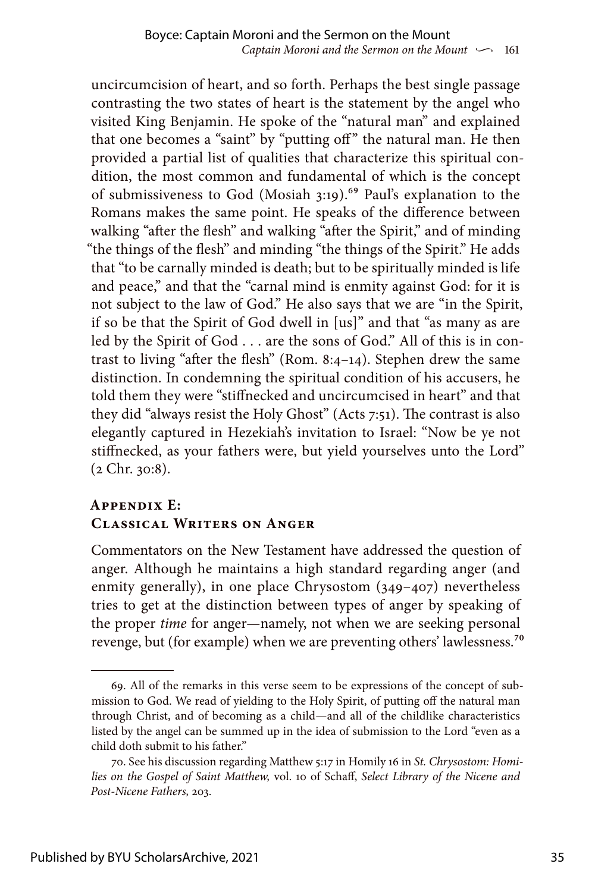uncircumcision of heart, and so forth. Perhaps the best single passage contrasting the two states of heart is the statement by the angel who visited King Benjamin. He spoke of the "natural man" and explained that one becomes a "saint" by "putting off" the natural man. He then provided a partial list of qualities that characterize this spiritual condition, the most common and fundamental of which is the concept of submissiveness to God (Mosiah 3:19).<sup>69</sup> Paul's explanation to the Romans makes the same point. He speaks of the difference between walking "after the flesh" and walking "after the Spirit," and of minding "the things of the flesh" and minding "the things of the Spirit." He adds that "to be carnally minded is death; but to be spiritually minded is life and peace," and that the "carnal mind is enmity against God: for it is not subject to the law of God." He also says that we are "in the Spirit, if so be that the Spirit of God dwell in [us]" and that "as many as are led by the Spirit of God . . . are the sons of God." All of this is in contrast to living "after the flesh" (Rom. 8:4–14). Stephen drew the same distinction. In condemning the spiritual condition of his accusers, he told them they were "stiffnecked and uncircumcised in heart" and that they did "always resist the Holy Ghost" (Acts 7:51). The contrast is also elegantly captured in Hezekiah's invitation to Israel: "Now be ye not stiffnecked, as your fathers were, but yield yourselves unto the Lord" (2 Chr. 30:8).

# **Appendix E: Classical Writers on Anger**

Commentators on the New Testament have addressed the question of anger. Although he maintains a high standard regarding anger (and enmity generally), in one place Chrysostom (349–407) nevertheless tries to get at the distinction between types of anger by speaking of the proper *time* for anger—namely, not when we are seeking personal revenge, but (for example) when we are preventing others' lawlessness.<sup>70</sup>

<sup>69.</sup> All of the remarks in this verse seem to be expressions of the concept of submission to God. We read of yielding to the Holy Spirit, of putting off the natural man through Christ, and of becoming as a child—and all of the childlike characteristics listed by the angel can be summed up in the idea of submission to the Lord "even as a child doth submit to his father."

<sup>70.</sup> See his discussion regarding Matthew 5:17 in Homily 16 in *St. Chrysostom: Homilies on the Gospel of Saint Matthew,* vol. 10 of Schaff, *Select Library of the Nicene and Post-Nicene Fathers,* 203.